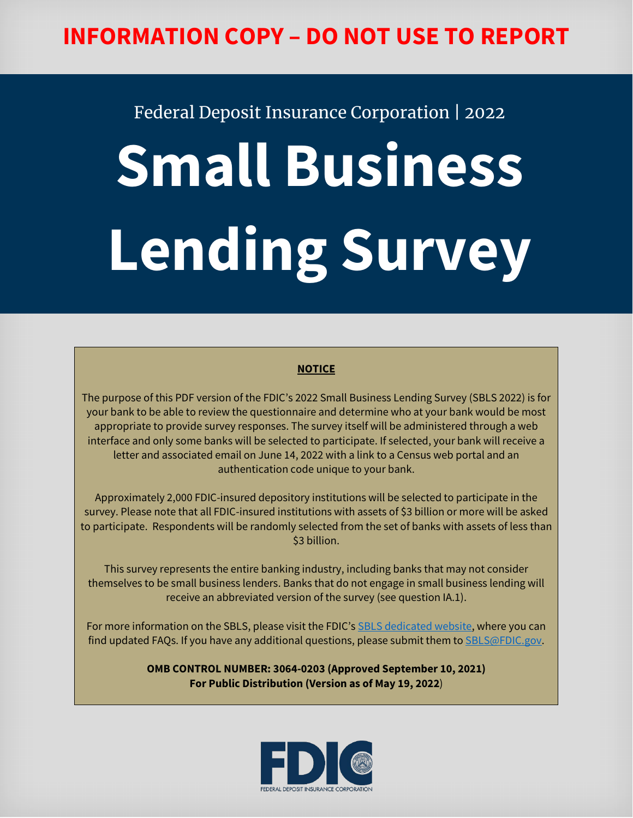# **INFORMATION COPY – DO NOT USE TO REPORT**

Federal Deposit Insurance Corporation | 2022

# **Small Business Lending Survey**

### **NOTICE**

The purpose of this PDF version of the FDIC's 2022 Small Business Lending Survey (SBLS 2022) is for your bank to be able to review the questionnaire and determine who at your bank would be most appropriate to provide survey responses. The survey itself will be administered through a web interface and only some banks will be selected to participate. If selected, your bank will receive a letter and associated email on June 14, 2022 with a link to a Census web portal and an authentication code unique to your bank.

Approximately 2,000 FDIC-insured depository institutions will be selected to participate in the survey. Please note that all FDIC-insured institutions with assets of \$3 billion or more will be asked to participate. Respondents will be randomly selected from the set of banks with assets of less than \$3 billion.

This survey represents the entire banking industry, including banks that may not consider themselves to be small business lenders. Banks that do not engage in small business lending will receive an abbreviated version of the survey (see question IA.1).

For more information on the SBLS, please visit the FDIC'[s SBLS dedicated website,](https://www.fdic.gov/resources/publications/small-business-lending-survey/index.html) where you can find updated FAQs. If you have any additional questions, please submit them t[o SBLS@FDIC.gov.](mailto:SBLS@FDIC.gov)

> **OMB CONTROL NUMBER: 3064-0203 (Approved September 10, 2021) For Public Distribution (Version as of May 19, 2022**)

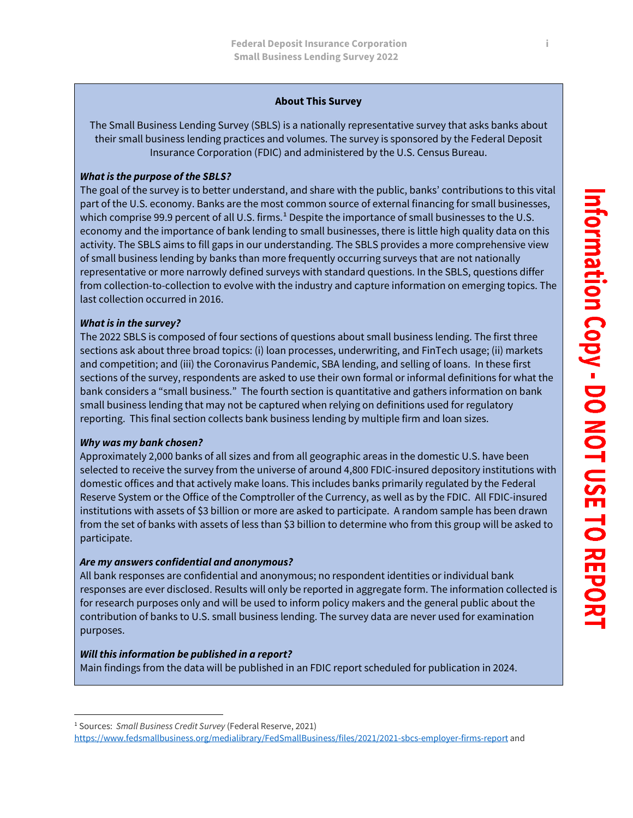### **About This Survey**

The Small Business Lending Survey (SBLS) is a nationally representative survey that asks banks about their small business lending practices and volumes. The survey is sponsored by the Federal Deposit Insurance Corporation (FDIC) and administered by the U.S. Census Bureau.

### *What is the purpose of the SBLS?*

The goal of the survey is to better understand, and share with the public, banks' contributions to this vital part of the U.S. economy. Banks are the most common source of external financing for small businesses, which comprise 99.9 percent of all U.S. firms.**[1](#page-1-0)** Despite the importance of small businesses to the U.S. economy and the importance of bank lending to small businesses, there is little high quality data on this activity. The SBLS aims to fill gaps in our understanding. The SBLS provides a more comprehensive view of small business lending by banks than more frequently occurring surveys that are not nationally representative or more narrowly defined surveys with standard questions. In the SBLS, questions differ from collection-to-collection to evolve with the industry and capture information on emerging topics. The last collection occurred in 2016.

### *What is in the survey?*

The 2022 SBLS is composed of four sections of questions about small business lending. The first three sections ask about three broad topics: (i) loan processes, underwriting, and FinTech usage; (ii) markets and competition; and (iii) the Coronavirus Pandemic, SBA lending, and selling of loans.In these first sections of the survey, respondents are asked to use their own formal or informal definitions for what the bank considers a "small business." The fourth section is quantitative and gathers information on bank small business lending that may not be captured when relying on definitions used for regulatory reporting. This final section collects bank business lending by multiple firm and loan sizes.

### *Why was my bank chosen?*

Approximately 2,000 banks of all sizes and from all geographic areas in the domestic U.S. have been selected to receive the survey from the universe of around 4,800 FDIC-insured depository institutions with domestic offices and that actively make loans. This includes banks primarily regulated by the Federal Reserve System or the Office of the Comptroller of the Currency, as well as by the FDIC. All FDIC-insured institutions with assets of \$3 billion or more are asked to participate. A random sample has been drawn from the set of banks with assets of less than \$3 billion to determine who from this group will be asked to participate.

### *Are my answers confidential and anonymous?*

All bank responses are confidential and anonymous; no respondent identities or individual bank responses are ever disclosed. Results will only be reported in aggregate form. The information collected is for research purposes only and will be used to inform policy makers and the general public about the contribution of banks to U.S. small business lending. The survey data are never used for examination purposes.

### *Will this information be published in a report?*

Main findings from the data will be published in an FDIC report scheduled for publication in 2024.

<span id="page-1-0"></span><sup>1</sup> Sources: *Small Business Credit Survey* (Federal Reserve, 2021) <https://www.fedsmallbusiness.org/medialibrary/FedSmallBusiness/files/2021/2021-sbcs-employer-firms-report> and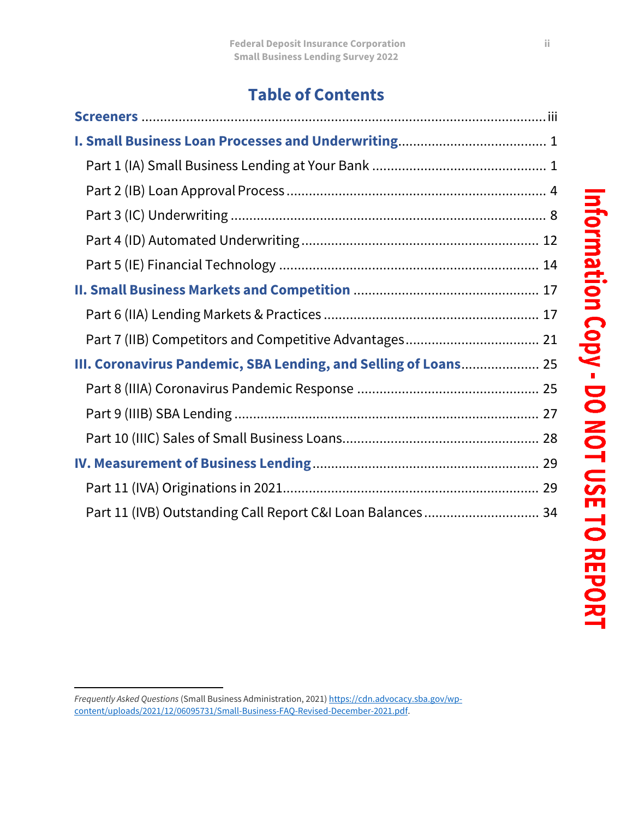# **Table of Contents**

| III. Coronavirus Pandemic, SBA Lending, and Selling of Loans 25 |  |
|-----------------------------------------------------------------|--|
|                                                                 |  |
|                                                                 |  |
|                                                                 |  |
|                                                                 |  |
|                                                                 |  |
| Part 11 (IVB) Outstanding Call Report C&I Loan Balances 34      |  |

*Frequently Asked Questions* (Small Business Administration, 2021[\) https://cdn.advocacy.sba.gov/wp](https://cdn.advocacy.sba.gov/wp-content/uploads/2021/12/06095731/Small-Business-FAQ-Revised-December-2021.pdf)[content/uploads/2021/12/06095731/Small-Business-FAQ-Revised-December-2021.pdf.](https://cdn.advocacy.sba.gov/wp-content/uploads/2021/12/06095731/Small-Business-FAQ-Revised-December-2021.pdf)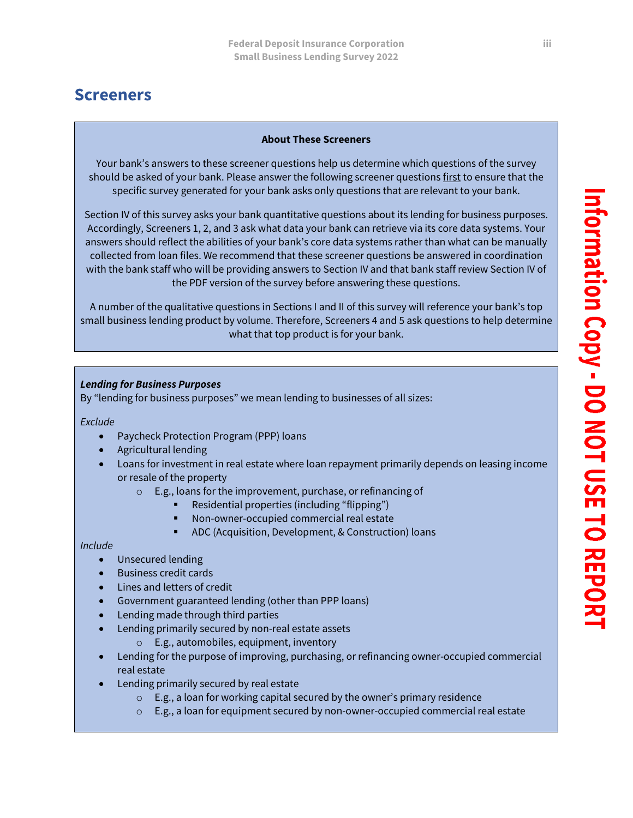### <span id="page-3-0"></span>**Screeners**

#### **About These Screeners**

Your bank's answers to these screener questions help us determine which questions of the survey should be asked of your bank. Please answer the following screener questions first to ensure that the specific survey generated for your bank asks only questions that are relevant to your bank.

Section IV of this survey asks your bank quantitative questions about its lending for business purposes. Accordingly, Screeners 1, 2, and 3 ask what data your bank can retrieve via its core data systems. Your answers should reflect the abilities of your bank's core data systems rather than what can be manually collected from loan files. We recommend that these screener questions be answered in coordination with the bank staff who will be providing answers to Section IV and that bank staff review Section IV of the PDF version of the survey before answering these questions.

A number of the qualitative questions in Sections I and II of this survey will reference your bank's top small business lending product by volume. Therefore, Screeners 4 and 5 ask questions to help determine what that top product is for your bank.

### *Lending for Business Purposes*

By "lending for business purposes" we mean lending to businesses of all sizes:

#### *Exclude*

- Paycheck Protection Program (PPP) loans
- Agricultural lending
- Loans for investment in real estate where loan repayment primarily depends on leasing income or resale of the property
	- o E.g., loans for the improvement, purchase, or refinancing of
		- Residential properties (including "flipping")
		- Non-owner-occupied commercial real estate
		- ADC (Acquisition, Development, & Construction) loans

#### *Include*

- Unsecured lending
- Business credit cards
- Lines and letters of credit
- Government guaranteed lending (other than PPP loans)
- Lending made through third parties
	- Lending primarily secured by non-real estate assets
		- o E.g., automobiles, equipment, inventory
- Lending for the purpose of improving, purchasing, or refinancing owner-occupied commercial real estate
- Lending primarily secured by real estate
	- o E.g., a loan for working capital secured by the owner's primary residence
	- $\circ$  E.g., a loan for equipment secured by non-owner-occupied commercial real estate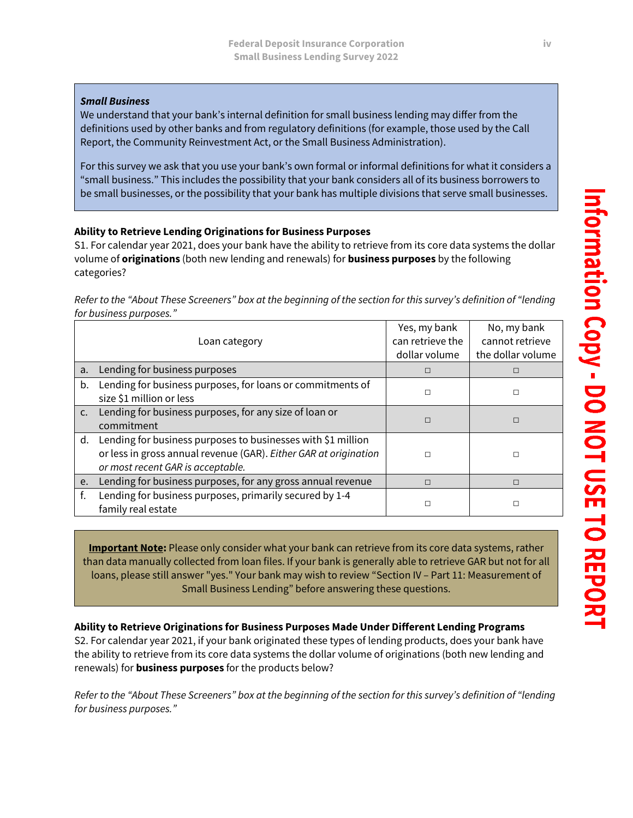### *Small Business*

We understand that your bank's internal definition for small business lending may differ from the definitions used by other banks and from regulatory definitions (for example, those used by the Call Report, the Community Reinvestment Act, or the Small Business Administration).

For this survey we ask that you use your bank's own formal or informal definitions for what it considers a "small business." This includes the possibility that your bank considers all of its business borrowers to be small businesses, or the possibility that your bank has multiple divisions that serve small businesses.

### **Ability to Retrieve Lending Originations for Business Purposes**

S1. For calendar year 2021, does your bank have the ability to retrieve from its core data systems the dollar volume of **originations** (both new lending and renewals) for **business purposes** by the following categories?

*Refer to the "About These Screeners" box at the beginning of the section for this survey's definition of "lending for business purposes."* 

|               | Loan category                                                                                                                                                         | Yes, my bank<br>can retrieve the<br>dollar volume | No, my bank<br>cannot retrieve<br>the dollar volume |
|---------------|-----------------------------------------------------------------------------------------------------------------------------------------------------------------------|---------------------------------------------------|-----------------------------------------------------|
| a.            | Lending for business purposes                                                                                                                                         | $\Box$                                            |                                                     |
| b.            | Lending for business purposes, for loans or commitments of<br>size \$1 million or less                                                                                | $\Box$                                            |                                                     |
| $C_{\bullet}$ | Lending for business purposes, for any size of loan or<br>commitment                                                                                                  | $\Box$                                            | П                                                   |
| d.            | Lending for business purposes to businesses with \$1 million<br>or less in gross annual revenue (GAR). Either GAR at origination<br>or most recent GAR is acceptable. | $\Box$                                            |                                                     |
| e.            | Lending for business purposes, for any gross annual revenue                                                                                                           | $\Box$                                            |                                                     |
| f.            | Lending for business purposes, primarily secured by 1-4<br>family real estate                                                                                         | □                                                 |                                                     |

**Important Note:** Please only consider what your bank can retrieve from its core data systems, rather than data manually collected from loan files. If your bank is generally able to retrieve GAR but not for all loans, please still answer "yes." Your bank may wish to review "Section IV – Part 11: Measurement of Small Business Lending" before answering these questions.

**Ability to Retrieve Originations for Business Purposes Made Under Different Lending Programs** S2. For calendar year 2021, if your bank originated these types of lending products, does your bank have the ability to retrieve from its core data systems the dollar volume of originations (both new lending and renewals) for **business purposes** for the products below?

*Refer to the "About These Screeners" box at the beginning of the section for this survey's definition of "lending for business purposes."*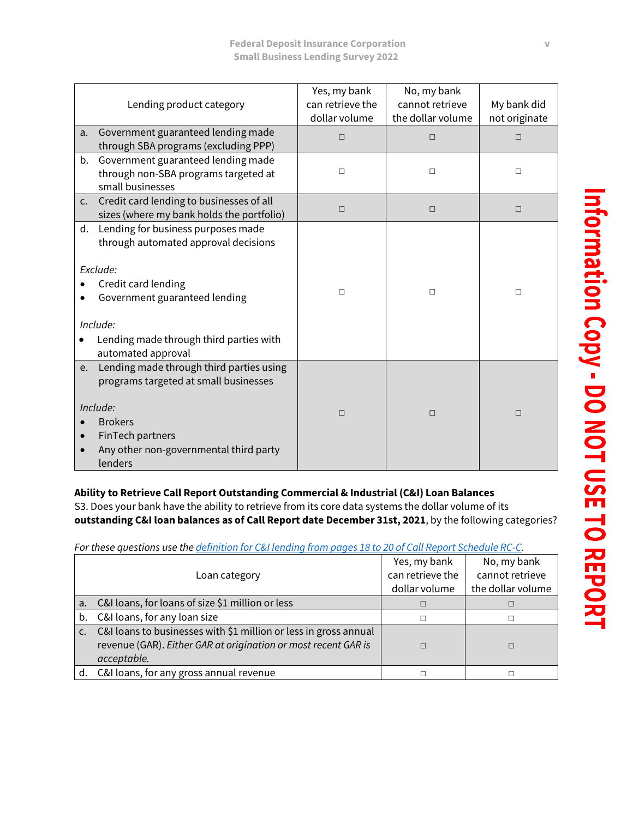| Lending product category                                                                                | Yes, my bank<br>can retrieve the<br>dollar volume | No, my bank<br>cannot retrieve<br>the dollar volume | My bank did<br>not originate |
|---------------------------------------------------------------------------------------------------------|---------------------------------------------------|-----------------------------------------------------|------------------------------|
| Government guaranteed lending made<br>a.<br>through SBA programs (excluding PPP)                        | $\Box$                                            | $\Box$                                              | $\Box$                       |
| Government guaranteed lending made<br>b.<br>through non-SBA programs targeted at<br>small businesses    | $\Box$                                            | $\Box$                                              | $\Box$                       |
| Credit card lending to businesses of all<br>$\mathsf{C}$ .<br>sizes (where my bank holds the portfolio) | $\Box$                                            | $\Box$                                              | $\Box$                       |
| Lending for business purposes made<br>d.<br>through automated approval decisions                        |                                                   |                                                     |                              |
| Exclude:<br>Credit card lending<br>Government guaranteed lending                                        | $\Box$                                            | $\Box$                                              | П                            |
| Include:<br>Lending made through third parties with<br>automated approval                               |                                                   |                                                     |                              |
| Lending made through third parties using<br>e.<br>programs targeted at small businesses                 |                                                   |                                                     |                              |
| Include:<br><b>Brokers</b><br>FinTech partners<br>Any other non-governmental third party<br>lenders     | $\Box$                                            | $\Box$                                              | $\Box$                       |

### **Ability to Retrieve Call Report Outstanding Commercial & Industrial (C&I) Loan Balances**

S3. Does your bank have the ability to retrieve from its core data systems the dollar volume of its **outstanding C&I loan balances as of Call Report date December 31st, 2021**, by the following categories?

*For these questions use th[e definition for C&I lending from pages 18 to 20 of Call Report Schedule RC-C.](https://www.fdic.gov/regulations/resources/call/crinst-031-041/2020/2020-03-rc-c-parti.pdf)* 

| Loan category                                                                                                                                     | Yes, my bank<br>can retrieve the<br>dollar volume | No, my bank<br>cannot retrieve<br>the dollar volume |
|---------------------------------------------------------------------------------------------------------------------------------------------------|---------------------------------------------------|-----------------------------------------------------|
| a. C&I loans, for loans of size \$1 million or less                                                                                               | П                                                 |                                                     |
| b. C&I loans, for any loan size                                                                                                                   | п                                                 |                                                     |
| C&I loans to businesses with \$1 million or less in gross annual<br>revenue (GAR). Either GAR at origination or most recent GAR is<br>acceptable. |                                                   | П                                                   |
| C&I loans, for any gross annual revenue                                                                                                           |                                                   |                                                     |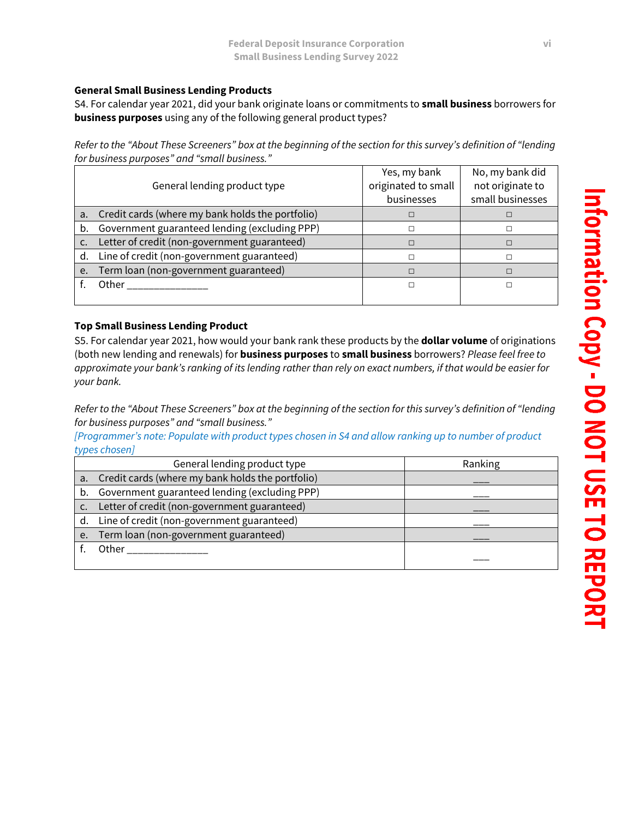### **General Small Business Lending Products**

S4. For calendar year 2021, did your bank originate loans or commitments to **small business** borrowers for **business purposes** using any of the following general product types?

*Refer to the "About These Screeners" box at the beginning of the section for this survey's definition of "lending for business purposes" and "small business."* 

|               | General lending product type                        | Yes, my bank<br>originated to small<br>businesses | No, my bank did<br>not originate to<br>small businesses |
|---------------|-----------------------------------------------------|---------------------------------------------------|---------------------------------------------------------|
|               | a. Credit cards (where my bank holds the portfolio) | □                                                 |                                                         |
|               | b. Government guaranteed lending (excluding PPP)    | П                                                 |                                                         |
| $C_{\bullet}$ | Letter of credit (non-government guaranteed)        | П                                                 |                                                         |
|               | d. Line of credit (non-government guaranteed)       | П                                                 |                                                         |
| e.            | Term loan (non-government guaranteed)               | $\Box$                                            |                                                         |
|               | Other                                               | $\Box$                                            |                                                         |
|               |                                                     |                                                   |                                                         |

### **Top Small Business Lending Product**

S5. For calendar year 2021, how would your bank rank these products by the **dollar volume** of originations (both new lending and renewals) for **business purposes** to **small business** borrowers? *Please feel free to approximate your bank's ranking of its lending rather than rely on exact numbers, if that would be easier for your bank.*

*Refer to the "About These Screeners" box at the beginning of the section for this survey's definition of "lending for business purposes" and "small business."* 

*[Programmer's note: Populate with product types chosen in S4 and allow ranking up to number of product types chosen]*

| General lending product type                        | Ranking |
|-----------------------------------------------------|---------|
| a. Credit cards (where my bank holds the portfolio) |         |
| b. Government guaranteed lending (excluding PPP)    |         |
| c. Letter of credit (non-government guaranteed)     |         |
| d. Line of credit (non-government guaranteed)       |         |
| e. Term loan (non-government guaranteed)            |         |
| Other                                               |         |
|                                                     |         |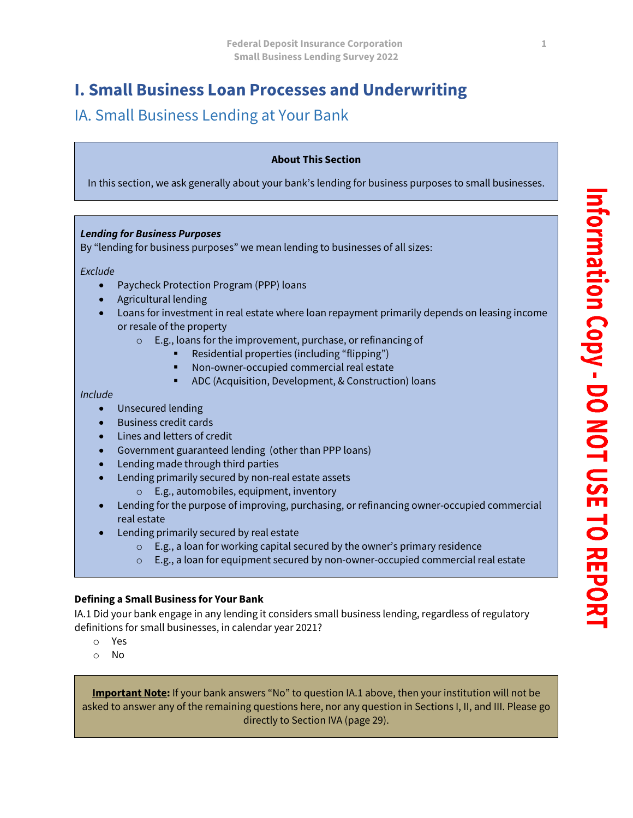# <span id="page-7-0"></span>**I. Small Business Loan Processes and Underwriting**

### <span id="page-7-1"></span>IA. Small Business Lending at Your Bank

### **About This Section**

In this section, we ask generally about your bank's lending for business purposes to small businesses.

### *Lending for Business Purposes*

By "lending for business purposes" we mean lending to businesses of all sizes:

*Exclude*

- Paycheck Protection Program (PPP) loans
- Agricultural lending
- Loans for investment in real estate where loan repayment primarily depends on leasing income or resale of the property
	- o E.g., loans for the improvement, purchase, or refinancing of
		- Residential properties (including "flipping")
		- Non-owner-occupied commercial real estate
		- ADC (Acquisition, Development, & Construction) loans

*Include*

- Unsecured lending
- Business credit cards
- Lines and letters of credit
- Government guaranteed lending (other than PPP loans)
- Lending made through third parties
- Lending primarily secured by non-real estate assets
	- o E.g., automobiles, equipment, inventory
- Lending for the purpose of improving, purchasing, or refinancing owner-occupied commercial real estate
- Lending primarily secured by real estate
	- $\circ$  E.g., a loan for working capital secured by the owner's primary residence
	- $\circ$  E.g., a loan for equipment secured by non-owner-occupied commercial real estate

### **Defining a Small Business for Your Bank**

IA.1 Did your bank engage in any lending it considers small business lending, regardless of regulatory definitions for small businesses, in calendar year 2021?

- o Yes
- o No

**Important Note:** If your bank answers "No" to question IA.1 above, then your institution will not be asked to answer any of the remaining questions here, nor any question in Sections I, II, and III. Please go directly to Section IVA (page 29).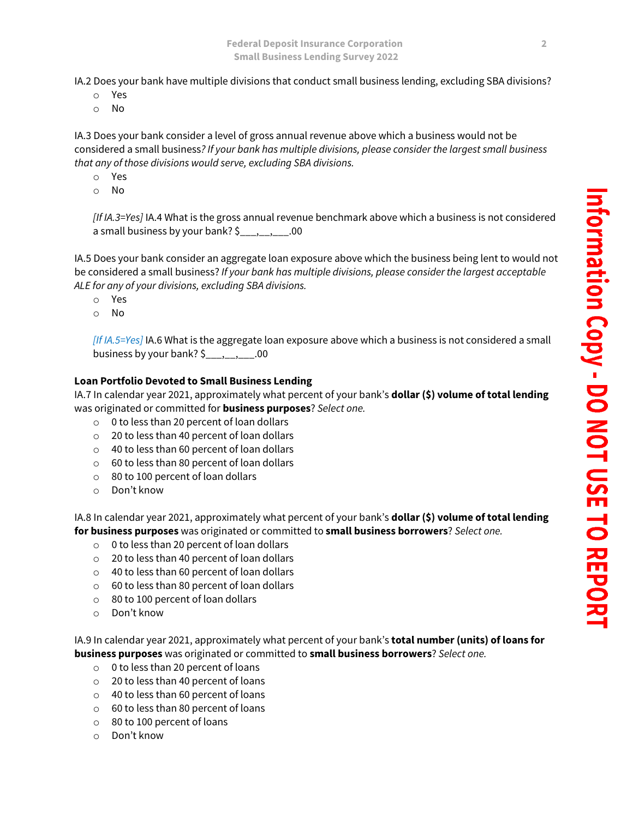IA.2 Does your bank have multiple divisions that conduct small business lending, excluding SBA divisions?

- o Yes
- o No

IA.3 Does your bank consider a level of gross annual revenue above which a business would not be considered a small business*? If your bank has multiple divisions, please consider the largest small business that any of those divisions would serve, excluding SBA divisions.*

- o Yes
- o No

*[If IA.3=Yes]* IA.4 What is the gross annual revenue benchmark above which a business is not considered a small business by your bank? \$ , , . . .00

IA.5 Does your bank consider an aggregate loan exposure above which the business being lent to would not be considered a small business? *If your bank has multiple divisions, please consider the largest acceptable ALE for any of your divisions, excluding SBA divisions.*

- o Yes
- o No

*[If IA.5=Yes]* IA.6 What is the aggregate loan exposure above which a business is not considered a small business by your bank?  $\zeta_{2} = \zeta_{2} = \zeta_{1} = \zeta_{2} = 0.00$ 

### **Loan Portfolio Devoted to Small Business Lending**

IA.7 In calendar year 2021, approximately what percent of your bank's **dollar (\$) volume of total lending** was originated or committed for **business purposes**? *Select one.*

- o 0 to less than 20 percent of loan dollars
- o 20 to less than 40 percent of loan dollars
- o 40 to less than 60 percent of loan dollars
- $\circ$  60 to less than 80 percent of loan dollars
- o 80 to 100 percent of loan dollars
- o Don't know

IA.8 In calendar year 2021, approximately what percent of your bank's **dollar (\$) volume of total lending for business purposes** was originated or committed to **small business borrowers**? *Select one.*

- o 0 to less than 20 percent of loan dollars
- o 20 to less than 40 percent of loan dollars
- o 40 to less than 60 percent of loan dollars
- o 60 to less than 80 percent of loan dollars
- o 80 to 100 percent of loan dollars
- o Don't know

IA.9 In calendar year 2021, approximately what percent of your bank's **total number (units) of loans for business purposes** was originated or committed to **small business borrowers**? *Select one.*

- $\circ$  0 to less than 20 percent of loans
- o 20 to less than 40 percent of loans
- o 40 to less than 60 percent of loans
- o 60 to less than 80 percent of loans
- o 80 to 100 percent of loans
- o Don't know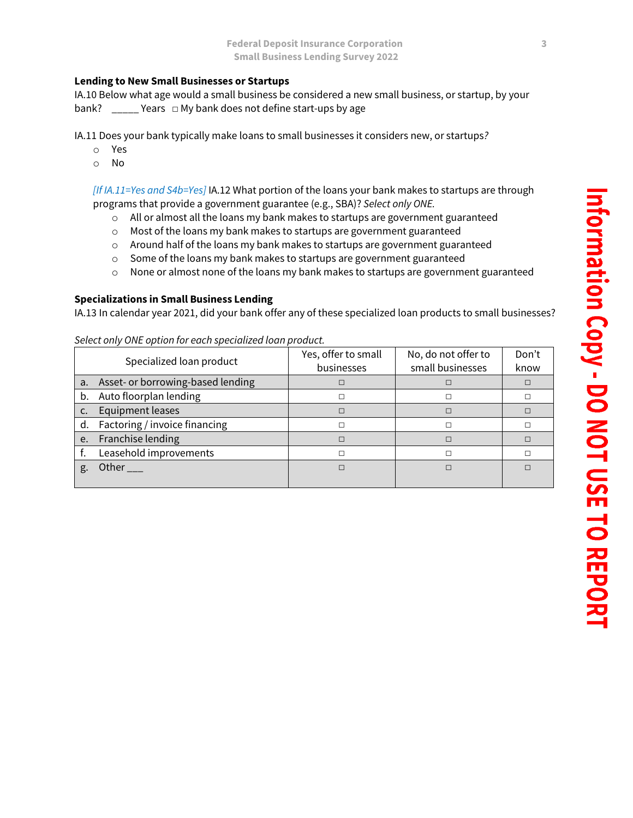### **Lending to New Small Businesses or Startups**

IA.10 Below what age would a small business be considered a new small business, or startup, by your bank?  $\blacksquare$  Years  $\blacksquare$  My bank does not define start-ups by age

IA.11 Does your bank typically make loans to small businesses it considers new, or startups*?*

- o Yes
- o No

*[If IA.11=Yes and S4b=Yes]* IA.12 What portion of the loans your bank makes to startups are through programs that provide a government guarantee (e.g., SBA)? *Select only ONE.*

- $\circ$  All or almost all the loans my bank makes to startups are government guaranteed
- o Most of the loans my bank makes to startups are government guaranteed
- $\circ$  Around half of the loans my bank makes to startups are government guaranteed
- o Some of the loans my bank makes to startups are government guaranteed
- o None or almost none of the loans my bank makes to startups are government guaranteed

### **Specializations in Small Business Lending**

IA.13 In calendar year 2021, did your bank offer any of these specialized loan products to small businesses?

#### *Select only ONE option for each specialized loan product.*

|    | Specialized loan product          | Yes, offer to small<br>businesses | No, do not offer to<br>small businesses | Don't<br>know |
|----|-----------------------------------|-----------------------------------|-----------------------------------------|---------------|
| a. | Asset- or borrowing-based lending |                                   |                                         |               |
| b. | Auto floorplan lending            |                                   |                                         |               |
|    | Equipment leases                  |                                   |                                         |               |
| d. | Factoring / invoice financing     |                                   |                                         |               |
| e. | Franchise lending                 |                                   |                                         |               |
|    | Leasehold improvements            |                                   |                                         |               |
| g. | Other                             |                                   |                                         |               |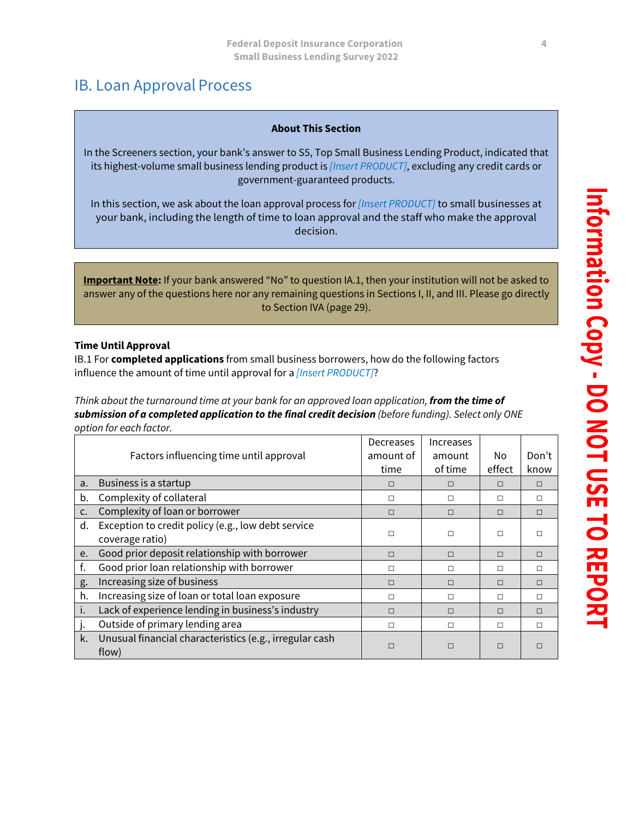### <span id="page-10-0"></span>IB. Loan Approval Process

### **About This Section**

In the Screeners section, your bank's answer to S5, Top Small Business Lending Product, indicated that its highest-volume small business lending product is *[Insert PRODUCT]*, excluding any credit cards or government-guaranteed products.

In this section, we ask about the loan approval process for *[Insert PRODUCT]* to small businesses at your bank, including the length of time to loan approval and the staff who make the approval decision.

**Important Note:** If your bank answered "No" to question IA.1, then your institution will not be asked to answer any of the questions here nor any remaining questions in Sections I, II, and III. Please go directly to Section IVA (page 29).

### **Time Until Approval**

IB.1 For **completed applications** from small business borrowers, how do the following factors influence the amount of time until approval for a *[Insert PRODUCT]*?

*Think about the turnaround time at your bank for an approved loan application, from the time of submission of a completed application to the final credit decision (before funding). Select only ONE option for each factor.*

|               | Factors influencing time until approval                               | Decreases<br>amount of<br>time | <b>Increases</b><br>amount<br>of time | No.<br>effect | Don't<br>know |
|---------------|-----------------------------------------------------------------------|--------------------------------|---------------------------------------|---------------|---------------|
| a.            | Business is a startup                                                 | $\Box$                         | П                                     | $\Box$        | $\Box$        |
| b.            | Complexity of collateral                                              | П                              | п                                     | П             | $\Box$        |
| $C_{\bullet}$ | Complexity of loan or borrower                                        | $\Box$                         | П                                     | $\Box$        | $\Box$        |
| d.            | Exception to credit policy (e.g., low debt service<br>coverage ratio) | $\Box$                         | П                                     | П             |               |
| e.            | Good prior deposit relationship with borrower                         | $\Box$                         | $\Box$                                | $\Box$        | $\Box$        |
| f.            | Good prior loan relationship with borrower                            | П                              | П                                     | П             | П             |
| g.            | Increasing size of business                                           | П                              | П                                     | $\Box$        | $\Box$        |
| h.            | Increasing size of loan or total loan exposure                        | $\Box$                         | П                                     | П             | П             |
| i.            | Lack of experience lending in business's industry                     | $\Box$                         | П                                     | $\Box$        | $\Box$        |
|               | Outside of primary lending area                                       | $\Box$                         | П                                     | $\Box$        | $\Box$        |
| k.            | Unusual financial characteristics (e.g., irregular cash<br>flow)      | П                              | П                                     | П             |               |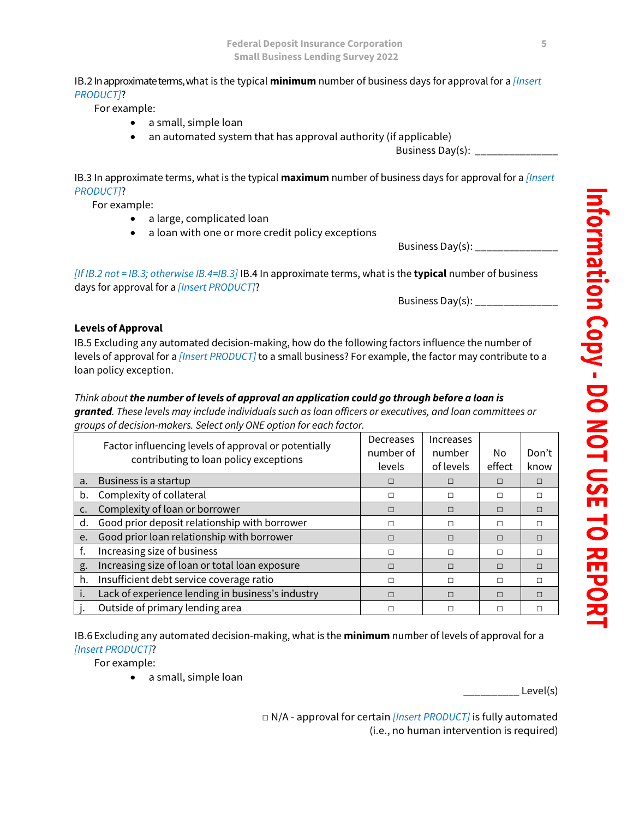### IB.2 In approximate terms, what is the typical **minimum** number of business days for approval for a *[Insert PRODUCT]*?

For example:

- a small, simple loan
- an automated system that has approval authority (if applicable)

Business Day(s): \_\_\_\_\_\_\_\_\_\_\_\_\_\_

IB.3 In approximate terms, what is the typical **maximum** number of business days for approval for a *[Insert PRODUCT]*?

For example:

- a large, complicated loan
- a loan with one or more credit policy exceptions

Business Day(s):  $\frac{1}{2}$ 

*[If IB.2 not = IB.3; otherwise IB.4=IB.3]* IB.4 In approximate terms, what is the **typical** number of business days for approval for a *[Insert PRODUCT]*?

Business Day(s): \_\_\_\_\_\_\_\_\_

### **Levels of Approval**

IB.5 Excluding any automated decision-making, how do the following factors influence the number of levels of approval for a *[Insert PRODUCT]* to a small business? For example, the factor may contribute to a loan policy exception.

### *Think about the number of levels of approval an application could go through before a loan is granted. These levels may include individuals such as loan officers or executives, and loan committees or groups of decision-makers. Select only ONE option for each factor.*

|                | Factor influencing levels of approval or potentially<br>contributing to loan policy exceptions | Decreases<br>number of<br>levels | <b>Increases</b><br>number<br>of levels | No.<br>effect | Don't<br>know |
|----------------|------------------------------------------------------------------------------------------------|----------------------------------|-----------------------------------------|---------------|---------------|
| a.             | Business is a startup                                                                          |                                  |                                         | П             | $\Box$        |
| b.             | Complexity of collateral                                                                       | п                                |                                         | П             | □             |
| $\mathsf{C}$ . | Complexity of loan or borrower                                                                 |                                  | П                                       | П             | П             |
| d.             | Good prior deposit relationship with borrower                                                  |                                  |                                         | П             | $\Box$        |
| e.             | Good prior loan relationship with borrower                                                     |                                  | П                                       | П             | □             |
|                | Increasing size of business                                                                    | П                                | п                                       | П             | $\Box$        |
| g.             | Increasing size of loan or total loan exposure                                                 |                                  | П                                       | П             | П             |
| h.             | Insufficient debt service coverage ratio                                                       | $\Box$                           | п                                       | П             | $\Box$        |
| Ι.             | Lack of experience lending in business's industry                                              | П                                | П                                       | П             | П             |
|                | Outside of primary lending area                                                                |                                  |                                         |               | □             |

IB.6 Excluding any automated decision-making, what is the **minimum** number of levels of approval for a *[Insert PRODUCT]*?

For example:

• a small, simple loan

\_\_\_\_\_\_\_\_\_\_ Level(s)

□ N/A - approval for certain *[Insert PRODUCT]* is fully automated (i.e., no human intervention is required)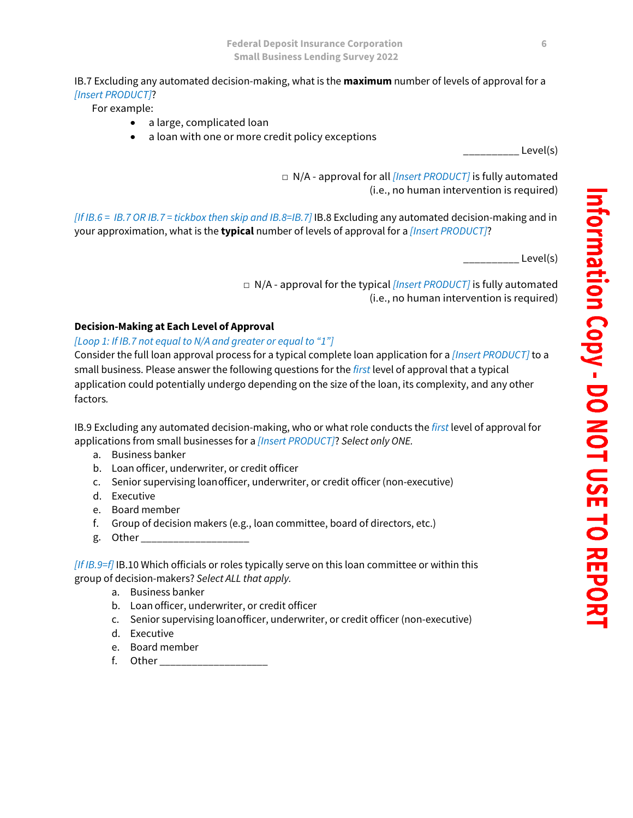### IB.7 Excluding any automated decision-making, what is the **maximum** number of levels of approval for a *[Insert PRODUCT]*?

For example:

- a large, complicated loan
- a loan with one or more credit policy exceptions

\_\_\_\_\_\_\_\_\_\_ Level(s)

□ N/A - approval for all *[Insert PRODUCT]* is fully automated (i.e., no human intervention is required)

*[If IB.6 = IB.7 OR IB.7 = tickbox then skip and IB.8=IB.7]* IB.8 Excluding any automated decision-making and in your approximation, what is the **typical** number of levels of approval for a *[Insert PRODUCT]*?

\_\_\_\_\_\_\_\_\_\_ Level(s)

□ N/A - approval for the typical *[Insert PRODUCT]* is fully automated (i.e., no human intervention is required)

### **Decision-Making at Each Level of Approval**

### *[Loop 1: If IB.7 not equal to N/A and greater or equal to "1"]*

Consider the full loan approval process for a typical complete loan application for a *[Insert PRODUCT]* to a small business. Please answer the following questions for the *first* level of approval that a typical application could potentially undergo depending on the size of the loan, its complexity, and any other factors*.*

IB.9 Excluding any automated decision-making, who or what role conducts the *first* level of approval for applications from small businesses for a *[Insert PRODUCT]*? *Select only ONE.*

- a. Business banker
- b. Loan officer, underwriter, or credit officer
- c. Senior supervising loanofficer, underwriter, or credit officer (non-executive)
- d. Executive
- e. Board member
- f. Group of decision makers (e.g., loan committee, board of directors, etc.)
- g. Other \_

*[If IB.9=f]* IB.10 Which officials or roles typically serve on this loan committee or within this group of decision-makers? *Select ALL that apply.*

- a. Business banker
- b. Loan officer, underwriter, or credit officer
- c. Senior supervising loanofficer, underwriter, or credit officer (non-executive)
- d. Executive
- e. Board member
- f. Other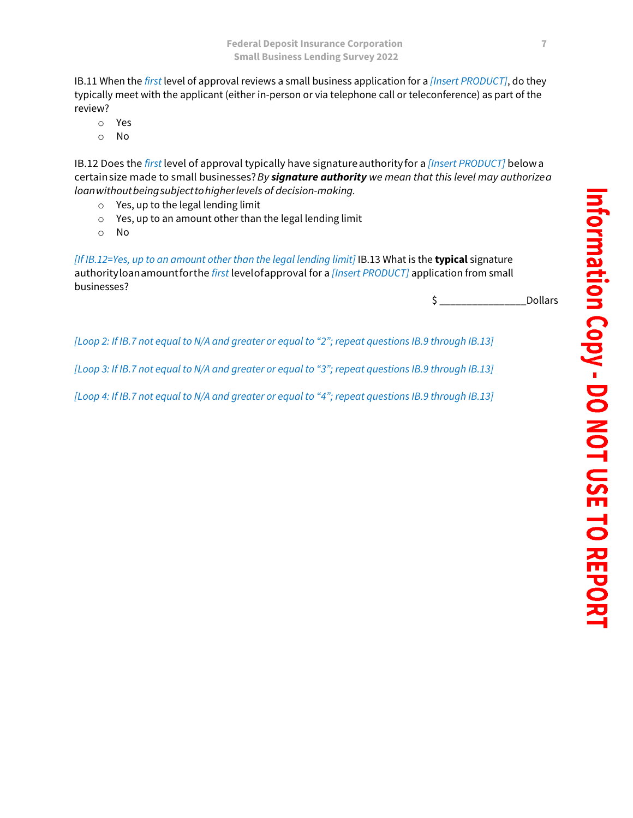IB.11 When the *first* level of approval reviews a small business application for a *[Insert PRODUCT]*, do they typically meet with the applicant (either in-person or via telephone call or teleconference) as part of the review?

- o Yes
- o No

IB.12 Does the *first* level of approval typically have signatureauthorityfor a *[Insert PRODUCT]* belowa certainsize made to small businesses?*By signature authority we mean that this level may authorizea loanwithoutbeingsubjecttohigherlevels of decision-making.*

- o Yes, up to the legal lending limit
- o Yes, up to an amount other than the legal lending limit
- o No

*[If IB.12=Yes, up to an amount other than the legal lending limit]* IB.13 What is the **typical** signature authorityloanamountforthe *first* levelofapproval for a *[Insert PRODUCT]* application from small businesses?

\$ \_\_\_\_\_\_\_\_\_\_\_\_\_\_\_\_Dollars

*[Loop 2: If IB.7 not equal to N/A and greater or equal to "2"; repeat questions IB.9 through IB.13]*

*[Loop 3: If IB.7 not equal to N/A and greater or equal to "3"; repeat questions IB.9 through IB.13]*

*[Loop 4: If IB.7 not equal to N/A and greater or equal to "4"; repeat questions IB.9 through IB.13]*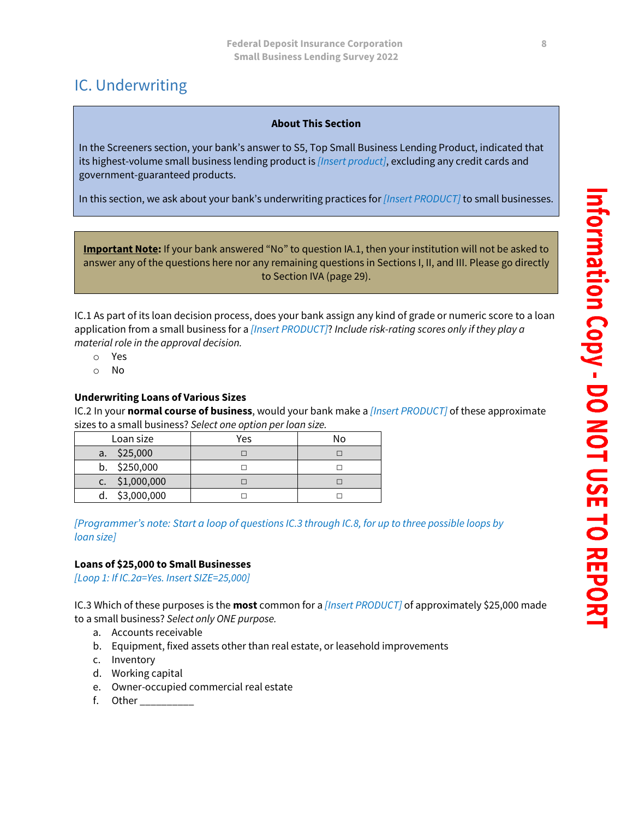# <span id="page-14-0"></span>IC. Underwriting

### **About This Section**

In the Screeners section, your bank's answer to S5, Top Small Business Lending Product, indicated that its highest-volume small business lending product is *[Insert product]*, excluding any credit cards and government-guaranteed products.

In this section, we ask about your bank's underwriting practices for *[Insert PRODUCT]* to small businesses.

**Important Note:** If your bank answered "No" to question IA.1, then your institution will not be asked to answer any of the questions here nor any remaining questions in Sections I, II, and III. Please go directly to Section IVA (page 29).

IC.1 As part of its loan decision process, does your bank assign any kind of grade or numeric score to a loan application from a small business for a *[Insert PRODUCT]*? *Include risk-rating scores only if they play a material role in the approval decision.*

- o Yes
- o No

### **Underwriting Loans of Various Sizes**

IC.2 In your **normal course of business**, would your bank make a *[Insert PRODUCT]* of these approximate sizes to a small business? *Select one option per loan size.*

| Loan size      | Yes | N٥ |
|----------------|-----|----|
| \$25,000<br>a. |     |    |
| \$250,000      |     |    |
| \$1,000,000    |     |    |
| \$3,000,000    |     |    |

*[Programmer's note: Start a loop of questions IC.3 through IC.8, for up to three possible loops by loan size]*

### **Loans of \$25,000 to Small Businesses**

*[Loop 1: If IC.2a=Yes. Insert SIZE=25,000]* 

IC.3 Which of these purposes is the **most** common for a *[Insert PRODUCT]* of approximately \$25,000 made to a small business? *Select only ONE purpose.*

- a. Accounts receivable
- b. Equipment, fixed assets other than real estate, or leasehold improvements
- c. Inventory
- d. Working capital
- e. Owner-occupied commercial real estate
- f. Other \_\_\_\_\_\_\_\_\_\_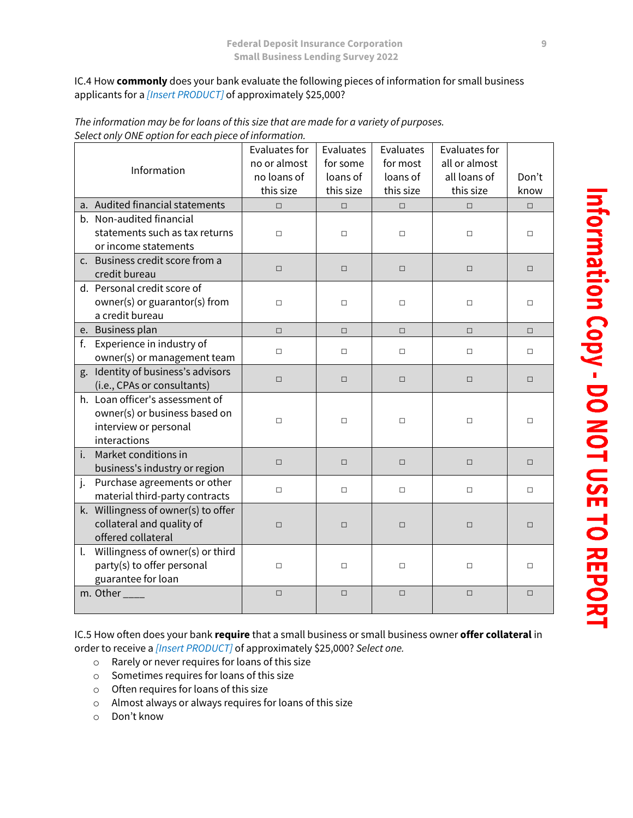### IC.4 How **commonly** does your bank evaluate the following pieces of information for small business applicants for a *[Insert PRODUCT]* of approximately \$25,000?

|    | Information                                                                                               | Evaluates for<br>no or almost<br>no loans of<br>this size | Evaluates<br>for some<br>loans of<br>this size | Evaluates<br>for most<br>loans of<br>this size | Evaluates for<br>all or almost<br>all loans of<br>this size | Don't<br>know |
|----|-----------------------------------------------------------------------------------------------------------|-----------------------------------------------------------|------------------------------------------------|------------------------------------------------|-------------------------------------------------------------|---------------|
|    | a. Audited financial statements                                                                           | $\Box$                                                    | $\Box$                                         | $\Box$                                         | $\Box$                                                      | $\Box$        |
|    | b. Non-audited financial<br>statements such as tax returns<br>or income statements                        | $\Box$                                                    | $\Box$                                         | $\Box$                                         | $\Box$                                                      | $\Box$        |
|    | c. Business credit score from a<br>credit bureau                                                          | $\Box$                                                    | $\Box$                                         | $\Box$                                         | $\Box$                                                      | $\Box$        |
|    | d. Personal credit score of<br>owner(s) or guarantor(s) from<br>a credit bureau                           | $\Box$                                                    | $\Box$                                         | $\Box$                                         | $\Box$                                                      | $\Box$        |
|    | e. Business plan                                                                                          | $\Box$                                                    | $\Box$                                         | $\Box$                                         | $\Box$                                                      | $\Box$        |
| f. | Experience in industry of<br>owner(s) or management team                                                  | $\Box$                                                    | $\Box$                                         | $\Box$                                         | $\Box$                                                      | $\Box$        |
|    | g. Identity of business's advisors<br>(i.e., CPAs or consultants)                                         | $\Box$                                                    | $\Box$                                         | $\Box$                                         | $\Box$                                                      | $\Box$        |
|    | h. Loan officer's assessment of<br>owner(s) or business based on<br>interview or personal<br>interactions | $\Box$                                                    | $\Box$                                         | $\Box$                                         | $\Box$                                                      | $\Box$        |
|    | Market conditions in<br>business's industry or region                                                     | $\Box$                                                    | $\Box$                                         | $\Box$                                         | $\Box$                                                      | $\Box$        |
| j. | Purchase agreements or other<br>material third-party contracts                                            | $\Box$                                                    | $\Box$                                         | $\Box$                                         | $\Box$                                                      | $\Box$        |
|    | k. Willingness of owner(s) to offer<br>collateral and quality of<br>offered collateral                    | $\Box$                                                    | $\Box$                                         | $\Box$                                         | $\Box$                                                      | $\Box$        |
|    | l. Willingness of owner(s) or third<br>party(s) to offer personal<br>guarantee for loan                   | $\Box$                                                    | $\Box$                                         | $\Box$                                         | $\Box$                                                      | $\Box$        |
|    | m. Other                                                                                                  | $\Box$                                                    | $\Box$                                         | $\Box$                                         | $\Box$                                                      | $\Box$        |

*The information may be for loans of this size that are made for a variety of purposes. Select only ONE option for each piece of information.*

IC.5 How often does your bank **require** that a small business or small business owner **offer collateral** in order to receive a *[Insert PRODUCT]* of approximately \$25,000? *Select one.*

- o Rarely or never requires for loans of this size
- o Sometimes requires for loans of this size
- o Often requires for loans of this size
- o Almost always or always requires for loans of this size
- o Don't know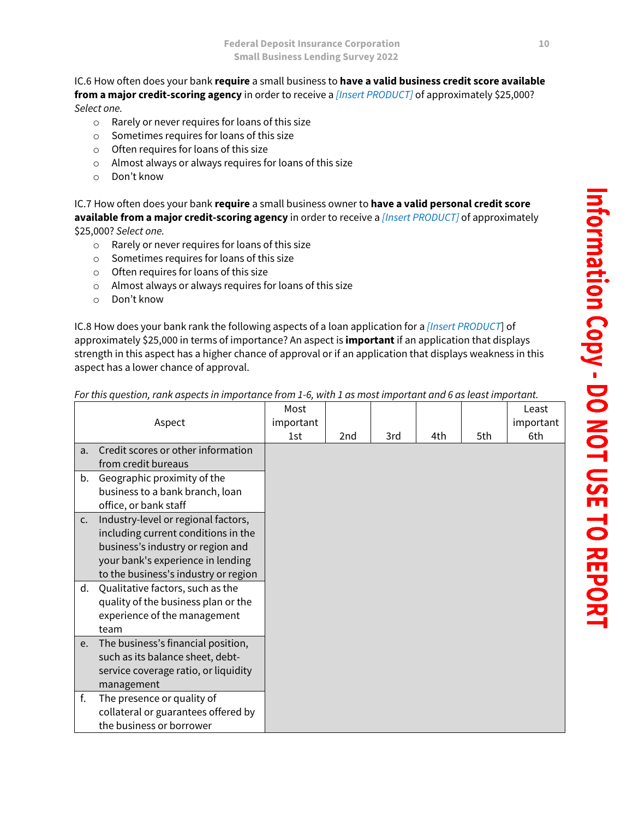### IC.6 How often does your bank **require** a small business to **have a valid business credit score available from a major credit-scoring agency** in order to receive a *[Insert PRODUCT]* of approximately \$25,000? *Select one.*

o Rarely or never requires for loans of this size

- o Sometimes requires for loans of this size
- $\circ$  Often requires for loans of this size
- o Almost always or always requires for loans of this size
- o Don't know

IC.7 How often does your bank **require** a small business owner to **have a valid personal credit score available from a major credit-scoring agency** in order to receive a *[Insert PRODUCT]* of approximately \$25,000? *Select one.*

- o Rarely or never requires for loans of this size
- o Sometimes requires for loans of this size
- o Often requires for loans of this size
- o Almost always or always requires for loans of this size
- o Don't know

IC.8 How does your bank rank the following aspects of a loan application for a *[Insert PRODUCT*] of approximately \$25,000 in terms of importance? An aspect is **important** if an application that displays strength in this aspect has a higher chance of approval or if an application that displays weakness in this aspect has a lower chance of approval.

|                |                                      | Most      |     |     |     |     | Least     |
|----------------|--------------------------------------|-----------|-----|-----|-----|-----|-----------|
|                | Aspect                               | important |     |     |     |     | important |
|                |                                      | 1st       | 2nd | 3rd | 4th | 5th | 6th       |
| a.             | Credit scores or other information   |           |     |     |     |     |           |
|                | from credit bureaus                  |           |     |     |     |     |           |
| b.             | Geographic proximity of the          |           |     |     |     |     |           |
|                | business to a bank branch, loan      |           |     |     |     |     |           |
|                | office, or bank staff                |           |     |     |     |     |           |
| $\mathsf{C}$ . | Industry-level or regional factors,  |           |     |     |     |     |           |
|                | including current conditions in the  |           |     |     |     |     |           |
|                | business's industry or region and    |           |     |     |     |     |           |
|                | your bank's experience in lending    |           |     |     |     |     |           |
|                | to the business's industry or region |           |     |     |     |     |           |
| d.             | Qualitative factors, such as the     |           |     |     |     |     |           |
|                | quality of the business plan or the  |           |     |     |     |     |           |
|                | experience of the management         |           |     |     |     |     |           |
|                | team                                 |           |     |     |     |     |           |
| e.             | The business's financial position,   |           |     |     |     |     |           |
|                | such as its balance sheet, debt-     |           |     |     |     |     |           |
|                | service coverage ratio, or liquidity |           |     |     |     |     |           |
|                | management                           |           |     |     |     |     |           |
| f.             | The presence or quality of           |           |     |     |     |     |           |
|                | collateral or guarantees offered by  |           |     |     |     |     |           |
|                | the business or borrower             |           |     |     |     |     |           |

*For this question, rank aspects in importance from 1-6, with 1 as most important and 6 as least important.*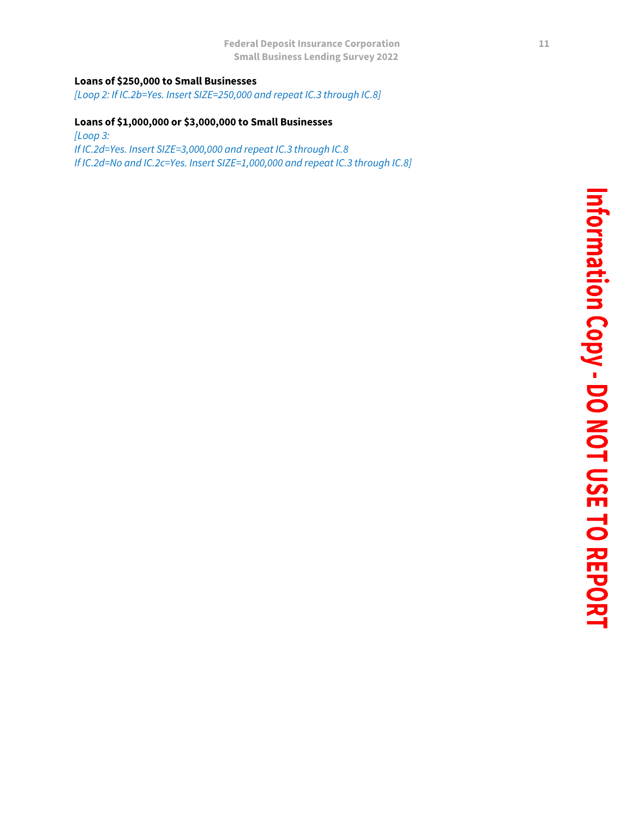### **Loans of \$250,000 to Small Businesses**

*[Loop 2: If IC.2b=Yes. Insert SIZE=250,000 and repeat IC.3 through IC.8]*

### **Loans of \$1,000,000 or \$3,000,000 to Small Businesses**

*[Loop 3: If IC.2d=Yes. Insert SIZE=3,000,000 and repeat IC.3 through IC.8 If IC.2d=No and IC.2c=Yes. Insert SIZE=1,000,000 and repeat IC.3 through IC.8]*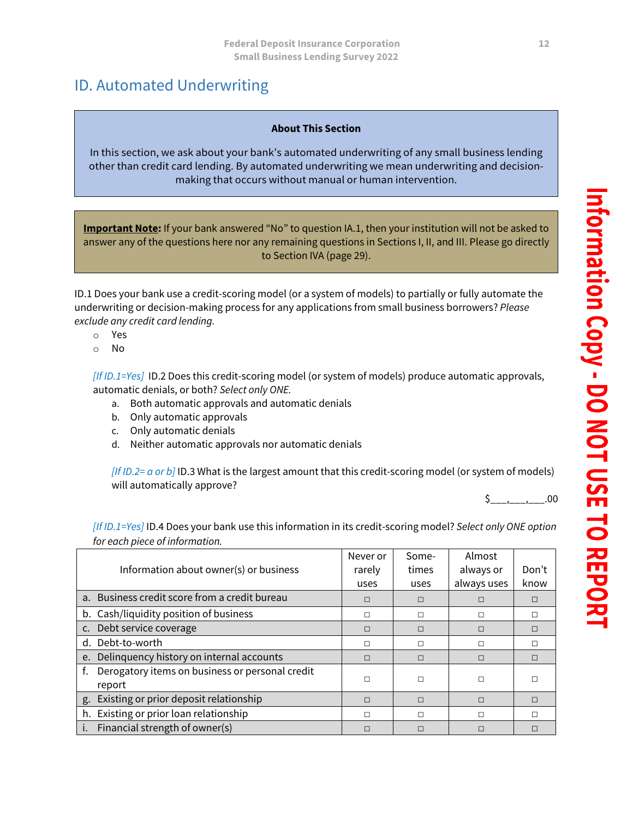# <span id="page-18-0"></span>ID. Automated Underwriting

### **About This Section**

In this section, we ask about your bank's automated underwriting of any small business lending other than credit card lending. By automated underwriting we mean underwriting and decisionmaking that occurs without manual or human intervention.

**Important Note:** If your bank answered "No" to question IA.1, then your institution will not be asked to answer any of the questions here nor any remaining questions in Sections I, II, and III. Please go directly to Section IVA (page 29).

ID.1 Does your bank use a credit-scoring model (or a system of models) to partially or fully automate the underwriting or decision-making process for any applications from small business borrowers? *Please exclude any credit card lending.*

- o Yes
- o No

*[If ID.1=Yes]* ID.2 Does this credit-scoring model (or system of models) produce automatic approvals, automatic denials, or both? *Select only ONE.*

- a. Both automatic approvals and automatic denials
- b. Only automatic approvals
- c. Only automatic denials
- d. Neither automatic approvals nor automatic denials

*[If ID.2= a or b]* ID.3 What is the largest amount that this credit-scoring model (or system of models) will automatically approve?

 $$_2$ , , .00

*[If ID.1=Yes]* ID.4 Does your bank use this information in its credit-scoring model? *Select only ONE option for each piece of information.*

| Information about owner(s) or business                          | Never or<br>rarely<br>uses | Some-<br>times<br>uses | Almost<br>always or<br>always uses | Don't<br>know |
|-----------------------------------------------------------------|----------------------------|------------------------|------------------------------------|---------------|
| a. Business credit score from a credit bureau                   | $\Box$                     | $\Box$                 | П                                  | П             |
| b. Cash/liquidity position of business                          | $\Box$                     | П                      | П                                  | п             |
| c. Debt service coverage                                        | $\Box$                     | $\Box$                 | П                                  | $\Box$        |
| d. Debt-to-worth                                                | П                          | П                      |                                    | П             |
| e. Delinquency history on internal accounts                     | $\Box$                     | $\Box$                 | П                                  | П             |
| Derogatory items on business or personal credit<br>f.<br>report | П                          | П                      | П                                  |               |
| Existing or prior deposit relationship<br>g.                    | $\Box$                     | $\Box$                 | П                                  | $\Box$        |
| h. Existing or prior loan relationship                          | $\Box$                     | П                      | П                                  |               |
| Financial strength of owner(s)                                  |                            | П                      |                                    |               |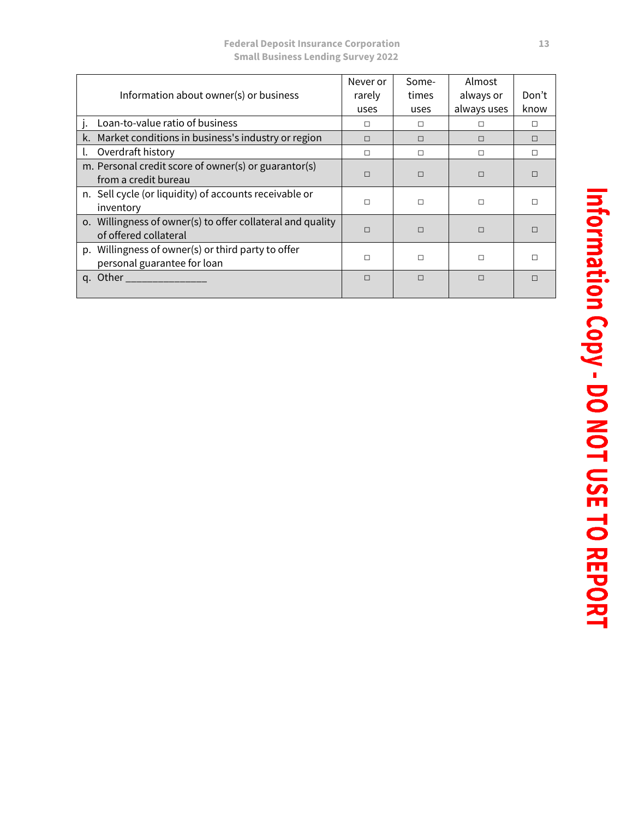### **Federal Deposit Insurance Corporation 13 Small Business Lending Survey 2022**

| Information about owner(s) or business                                              | Never or<br>rarely<br>uses | Some-<br>times<br>uses | Almost<br>always or<br>always uses | Don't<br>know |
|-------------------------------------------------------------------------------------|----------------------------|------------------------|------------------------------------|---------------|
| Loan-to-value ratio of business                                                     | п                          | П                      |                                    | п             |
| k. Market conditions in business's industry or region                               | $\Box$                     | $\Box$                 | П                                  | П             |
| Overdraft history                                                                   | $\Box$                     | П                      | П                                  |               |
| m. Personal credit score of owner(s) or guarantor(s)<br>from a credit bureau        | $\Box$                     | $\Box$                 | $\Box$                             |               |
| n. Sell cycle (or liquidity) of accounts receivable or<br>inventory                 | $\Box$                     | П                      | П                                  |               |
| o. Willingness of owner(s) to offer collateral and quality<br>of offered collateral | $\Box$                     | $\Box$                 | $\Box$                             |               |
| p. Willingness of owner(s) or third party to offer<br>personal guarantee for loan   | $\Box$                     | П                      | П                                  |               |
| q. Other $\frac{1}{2}$                                                              | П                          | П                      |                                    |               |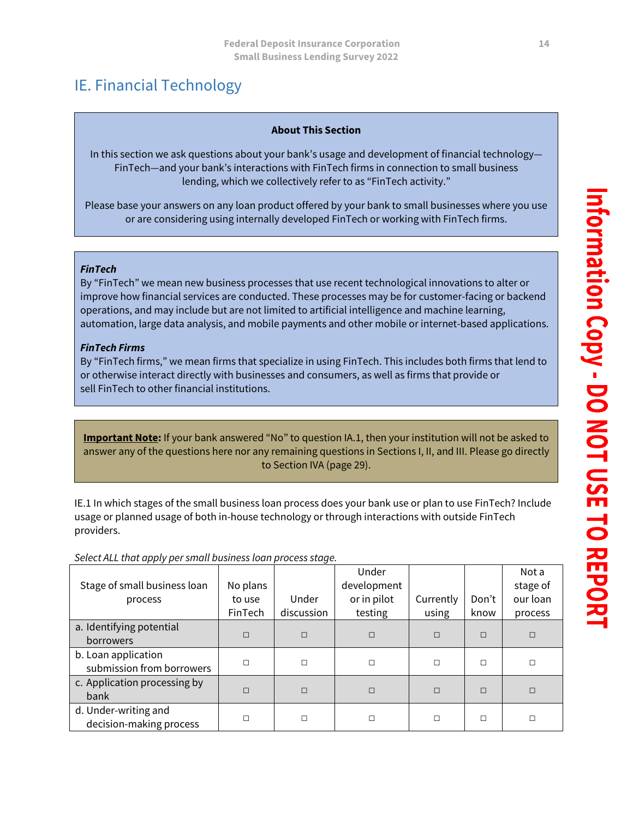# <span id="page-20-0"></span>IE. Financial Technology

### **About This Section**

In this section we ask questions about your bank's usage and development of financial technology— FinTech—and your bank's interactions with FinTech firms in connection to small business lending, which we collectively refer to as "FinTech activity."

Please base your answers on any loan product offered by your bank to small businesses where you use or are considering using internally developed FinTech or working with FinTech firms.

### *FinTech*

By "FinTech" we mean new business processes that use recent technological innovations to alter or improve how financial services are conducted. These processes may be for customer-facing or backend operations, and may include but are not limited to artificial intelligence and machine learning, automation, large data analysis, and mobile payments and other mobile or internet-based applications.

### *FinTech Firms*

By "FinTech firms," we mean firms that specialize in using FinTech. This includes both firms that lend to or otherwise interact directly with businesses and consumers, as well as firms that provide or sell FinTech to other financial institutions.

**Important Note:** If your bank answered "No" to question IA.1, then your institution will not be asked to answer any of the questions here nor any remaining questions in Sections I, II, and III. Please go directly to Section IVA (page 29).

IE.1 In which stages of the small business loan process does your bank use or plan to use FinTech? Include usage or planned usage of both in-house technology or through interactions with outside FinTech providers.

*Select ALL that apply per small business loan process stage.*

| Stage of small business loan<br>process          | No plans<br>to use<br>FinTech | Under<br>discussion | Under<br>development<br>or in pilot<br>testing | Currently<br>using | Don't<br>know | Not a<br>stage of<br>our loan<br>process |
|--------------------------------------------------|-------------------------------|---------------------|------------------------------------------------|--------------------|---------------|------------------------------------------|
| a. Identifying potential<br>borrowers            | $\Box$                        | П                   | $\Box$                                         | $\Box$             | $\Box$        | $\Box$                                   |
| b. Loan application<br>submission from borrowers | $\Box$                        | П                   | □                                              | П                  |               | П                                        |
| c. Application processing by<br>bank             | $\Box$                        | П                   | $\Box$                                         | $\Box$             | $\Box$        | $\Box$                                   |
| d. Under-writing and<br>decision-making process  | П                             | П                   | □                                              | □                  |               | □                                        |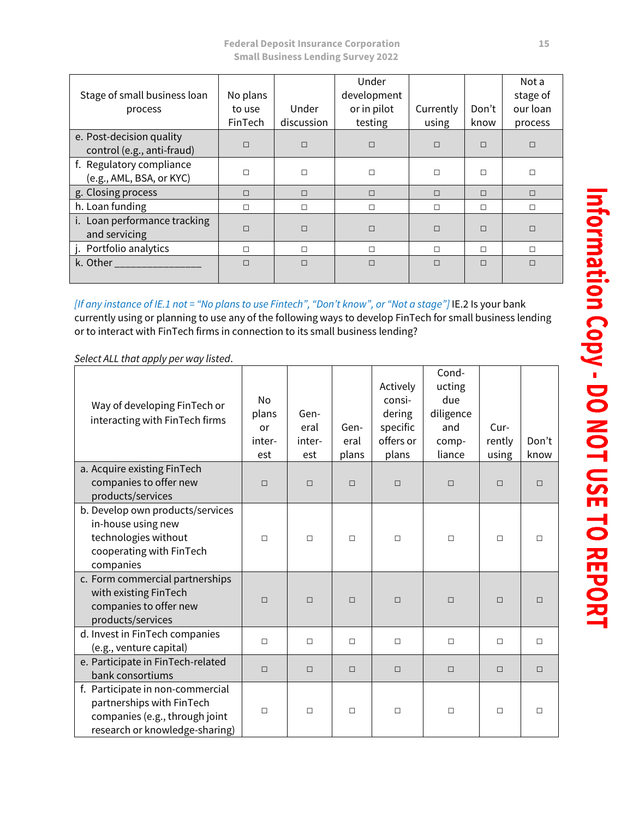**Federal Deposit Insurance Corporation 15 Small Business Lending Survey 2022**

| Stage of small business loan<br>process                | No plans<br>to use<br><b>FinTech</b> | Under<br>discussion | Under<br>development<br>or in pilot<br>testing | Currently<br>using | Don't<br>know | Not a<br>stage of<br>our loan<br>process |
|--------------------------------------------------------|--------------------------------------|---------------------|------------------------------------------------|--------------------|---------------|------------------------------------------|
| e. Post-decision quality<br>control (e.g., anti-fraud) | $\Box$                               | $\Box$              | $\Box$                                         | $\Box$             | $\Box$        | $\Box$                                   |
| f. Regulatory compliance<br>(e.g., AML, BSA, or KYC)   | $\Box$                               | $\Box$              | $\Box$                                         | $\Box$             | $\Box$        | П                                        |
| g. Closing process                                     | $\Box$                               | $\Box$              | $\Box$                                         | $\Box$             | $\Box$        | $\Box$                                   |
| h. Loan funding                                        | $\Box$                               | $\Box$              | $\Box$                                         | $\Box$             | $\Box$        | $\Box$                                   |
| i. Loan performance tracking<br>and servicing          | $\Box$                               | $\Box$              | $\Box$                                         | $\Box$             | $\Box$        | П                                        |
| j. Portfolio analytics                                 | $\Box$                               | $\Box$              | П                                              | $\Box$             | П             | П                                        |
| k. Other                                               | $\Box$                               | $\Box$              | $\Box$                                         | $\Box$             | $\Box$        | П                                        |

*[If any instance of IE.1 not = "No plans to use Fintech", "Don't know", or "Not a stage"]* IE.2 Is your bank currently using or planning to use any of the following ways to develop FinTech for small business lending or to interact with FinTech firms in connection to its small business lending?

*Select ALL that apply per way listed*.

| Way of developing FinTech or<br>interacting with FinTech firms                                                                    | N <sub>o</sub><br>plans<br>or<br>inter-<br>est | Gen-<br>eral<br>inter-<br>est | Gen-<br>eral<br>plans | Actively<br>consi-<br>dering<br>specific<br>offers or<br>plans | Cond-<br>ucting<br>due<br>diligence<br>and<br>comp-<br>liance | Cur-<br>rently<br>using | Don't<br>know |
|-----------------------------------------------------------------------------------------------------------------------------------|------------------------------------------------|-------------------------------|-----------------------|----------------------------------------------------------------|---------------------------------------------------------------|-------------------------|---------------|
| a. Acquire existing FinTech<br>companies to offer new<br>products/services                                                        | $\Box$                                         | $\Box$                        | $\Box$                | $\Box$                                                         | $\Box$                                                        | $\Box$                  | $\Box$        |
| b. Develop own products/services<br>in-house using new<br>technologies without<br>cooperating with FinTech<br>companies           | $\Box$                                         | $\Box$                        | $\Box$                | $\Box$                                                         | $\Box$                                                        | $\Box$                  | $\Box$        |
| c. Form commercial partnerships<br>with existing FinTech<br>companies to offer new<br>products/services                           | $\Box$                                         | $\Box$                        | $\Box$                | $\Box$                                                         | $\Box$                                                        | $\Box$                  | П             |
| d. Invest in FinTech companies<br>(e.g., venture capital)                                                                         | $\Box$                                         | $\Box$                        | $\Box$                | $\Box$                                                         | $\Box$                                                        | $\Box$                  | $\Box$        |
| e. Participate in FinTech-related<br>bank consortiums                                                                             | $\Box$                                         | $\Box$                        | $\Box$                | $\Box$                                                         | $\Box$                                                        | $\Box$                  | $\Box$        |
| f. Participate in non-commercial<br>partnerships with FinTech<br>companies (e.g., through joint<br>research or knowledge-sharing) | $\Box$                                         | $\Box$                        | П                     | $\Box$                                                         | $\Box$                                                        | П                       | П             |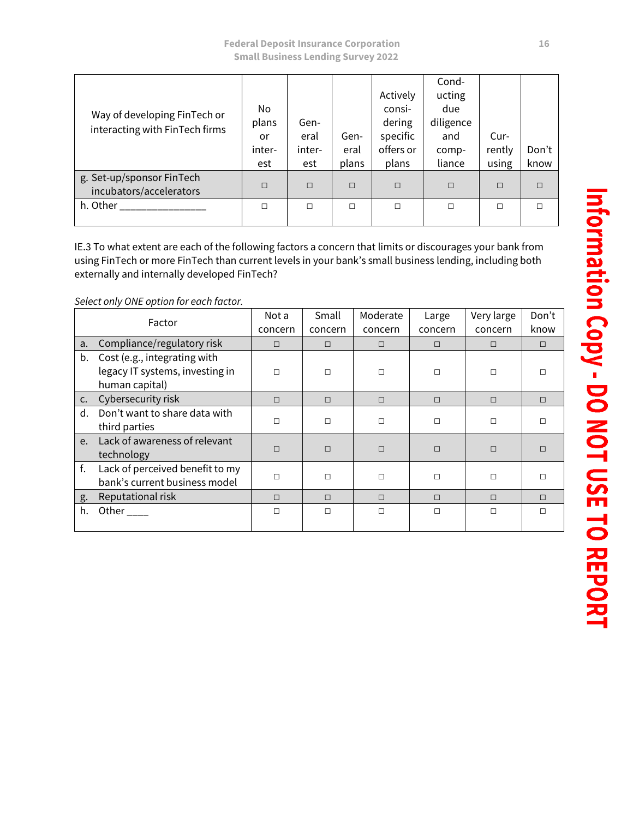| Way of developing FinTech or<br>interacting with FinTech firms | No<br>plans<br>or<br>inter-<br>est | Gen-<br>eral<br>inter-<br>est | Gen-<br>eral<br>plans | Actively<br>consi-<br>dering<br>specific<br>offers or<br>plans | Cond-<br>ucting<br>due<br>diligence<br>and<br>comp-<br>liance | Cur-<br>rently<br>using | Don't<br>know |
|----------------------------------------------------------------|------------------------------------|-------------------------------|-----------------------|----------------------------------------------------------------|---------------------------------------------------------------|-------------------------|---------------|
| g. Set-up/sponsor FinTech<br>incubators/accelerators           | $\Box$                             | $\Box$                        | $\Box$                | $\Box$                                                         | $\Box$                                                        | $\Box$                  | □             |
| h. Other                                                       | П                                  | П                             | $\Box$                | $\Box$                                                         | $\Box$                                                        | $\Box$                  | П             |

IE.3 To what extent are each of the following factors a concern that limits or discourages your bank from using FinTech or more FinTech than current levels in your bank's small business lending, including both externally and internally developed FinTech?

*Select only ONE option for each factor.*

|                | Factor                                                                            | Not a<br>concern | Small<br>concern | Moderate<br>concern | Large<br>concern | Very large<br>concern | Don't<br>know |
|----------------|-----------------------------------------------------------------------------------|------------------|------------------|---------------------|------------------|-----------------------|---------------|
| a.             | Compliance/regulatory risk                                                        | $\Box$           | $\Box$           | $\Box$              | $\Box$           | $\Box$                | $\Box$        |
| b.             | Cost (e.g., integrating with<br>legacy IT systems, investing in<br>human capital) | $\Box$           | $\Box$           | П                   | П                | П                     |               |
| $\mathsf{C}$ . | Cybersecurity risk                                                                | $\Box$           | $\Box$           | $\Box$              | $\Box$           | $\Box$                | $\Box$        |
| d.             | Don't want to share data with<br>third parties                                    | П                | $\Box$           | П                   | П                | $\Box$                | П             |
| $e_{1}$        | Lack of awareness of relevant<br>technology                                       | $\Box$           | $\Box$           | $\Box$              | $\Box$           | $\Box$                | П             |
| f.             | Lack of perceived benefit to my<br>bank's current business model                  | $\Box$           | $\Box$           | П                   | П                | П                     | п             |
| g.             | Reputational risk                                                                 | $\Box$           | $\Box$           | $\Box$              | $\Box$           | $\Box$                | П             |
| h.             | Other $\_\_$                                                                      | $\Box$           | $\Box$           | П                   | П                | П                     | П             |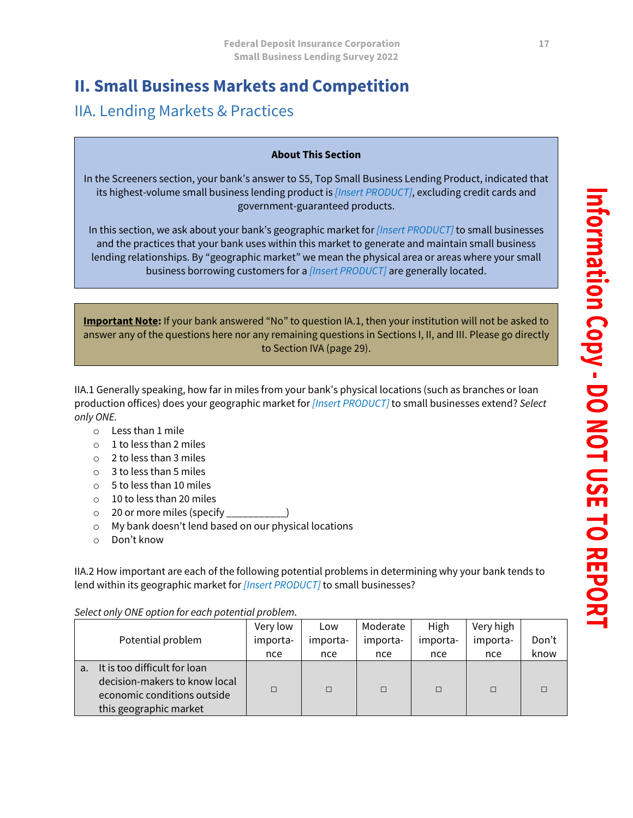# <span id="page-23-0"></span>**II. Small Business Markets and Competition**

# <span id="page-23-1"></span>IIA. Lending Markets & Practices

### **About This Section**

In the Screeners section, your bank's answer to S5, Top Small Business Lending Product, indicated that its highest-volume small business lending product is *[Insert PRODUCT]*, excluding credit cards and government-guaranteed products.

In this section, we ask about your bank's geographic market for *[Insert PRODUCT]* to small businesses and the practices that your bank uses within this market to generate and maintain small business lending relationships. By "geographic market" we mean the physical area or areas where your small business borrowing customers for a *[Insert PRODUCT]* are generally located.

**Important Note:** If your bank answered "No" to question IA.1, then your institution will not be asked to answer any of the questions here nor any remaining questions in Sections I, II, and III. Please go directly to Section IVA (page 29).

IIA.1 Generally speaking, how far in miles from your bank's physical locations (such as branches or loan production offices) does your geographic market for *[Insert PRODUCT]* to small businesses extend? *Select only ONE.*

- o Less than 1 mile
- $\circ$  1 to less than 2 miles
- o 2 to less than 3 miles
- o 3 to less than 5 miles
- o 5 to less than 10 miles
- o 10 to less than 20 miles
- $\circ$  20 or more miles (specify
- o My bank doesn't lend based on our physical locations
- o Don't know

IIA.2 How important are each of the following potential problems in determining why your bank tends to lend within its geographic market for *[Insert PRODUCT]* to small businesses?

|    | Potential problem                                                                                                      | Very low<br>importa-<br>nce | Low<br>importa-<br>nce | Moderate<br>importa-<br>nce | High<br>importa-<br>nce | Very high<br>importa-<br>nce | Don't<br>know |
|----|------------------------------------------------------------------------------------------------------------------------|-----------------------------|------------------------|-----------------------------|-------------------------|------------------------------|---------------|
| a. | It is too difficult for loan<br>decision-makers to know local<br>economic conditions outside<br>this geographic market | $\Box$                      | П                      | $\Box$                      |                         | П                            |               |

### *Select only ONE option for each potential problem*.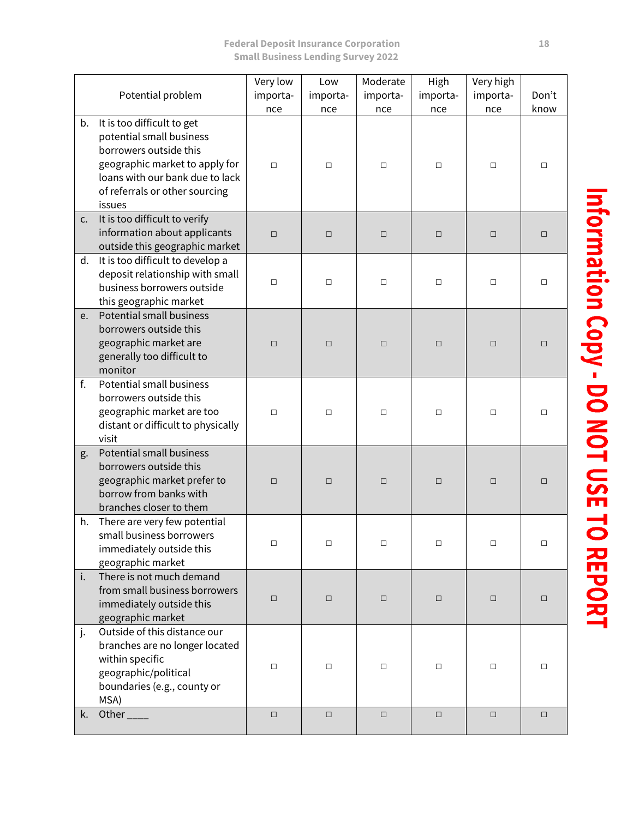|    |                                                                                                                                                                                                   | Very low | Low      | Moderate | High     | Very high |        |
|----|---------------------------------------------------------------------------------------------------------------------------------------------------------------------------------------------------|----------|----------|----------|----------|-----------|--------|
|    | Potential problem                                                                                                                                                                                 | importa- | importa- | importa- | importa- | importa-  | Don't  |
|    |                                                                                                                                                                                                   | nce      | nce      | nce      | nce      | nce       | know   |
| b. | It is too difficult to get<br>potential small business<br>borrowers outside this<br>geographic market to apply for<br>loans with our bank due to lack<br>of referrals or other sourcing<br>issues | $\Box$   | $\Box$   | □        | $\Box$   | $\Box$    | $\Box$ |
| C. | It is too difficult to verify<br>information about applicants<br>outside this geographic market                                                                                                   | $\Box$   | $\Box$   | $\Box$   | $\Box$   | $\Box$    | $\Box$ |
| d. | It is too difficult to develop a<br>deposit relationship with small<br>business borrowers outside<br>this geographic market                                                                       | $\Box$   | $\Box$   | $\Box$   | $\Box$   | $\Box$    | $\Box$ |
| e. | <b>Potential small business</b><br>borrowers outside this<br>geographic market are<br>generally too difficult to<br>monitor                                                                       | $\Box$   | $\Box$   | $\Box$   | $\Box$   | $\Box$    | $\Box$ |
| f. | Potential small business<br>borrowers outside this<br>geographic market are too<br>distant or difficult to physically<br>visit                                                                    | $\Box$   | $\Box$   | □        | □        | $\Box$    | $\Box$ |
| g. | <b>Potential small business</b><br>borrowers outside this<br>geographic market prefer to<br>borrow from banks with<br>branches closer to them                                                     | $\Box$   | $\Box$   | $\Box$   | $\Box$   | $\Box$    | $\Box$ |
| h. | There are very few potential<br>small business borrowers<br>immediately outside this<br>geographic market                                                                                         | $\Box$   | $\Box$   | $\Box$   | $\Box$   | $\Box$    | $\Box$ |
| i. | There is not much demand<br>from small business borrowers<br>immediately outside this<br>geographic market                                                                                        | $\Box$   | $\Box$   | $\Box$   | $\Box$   | $\Box$    | $\Box$ |
| j. | Outside of this distance our<br>branches are no longer located<br>within specific<br>geographic/political<br>boundaries (e.g., county or<br>MSA)                                                  | $\Box$   | $\Box$   | □        | □        | $\Box$    | $\Box$ |
| k. | Other $\_{$                                                                                                                                                                                       | $\Box$   | $\Box$   | $\Box$   | $\Box$   | $\Box$    | $\Box$ |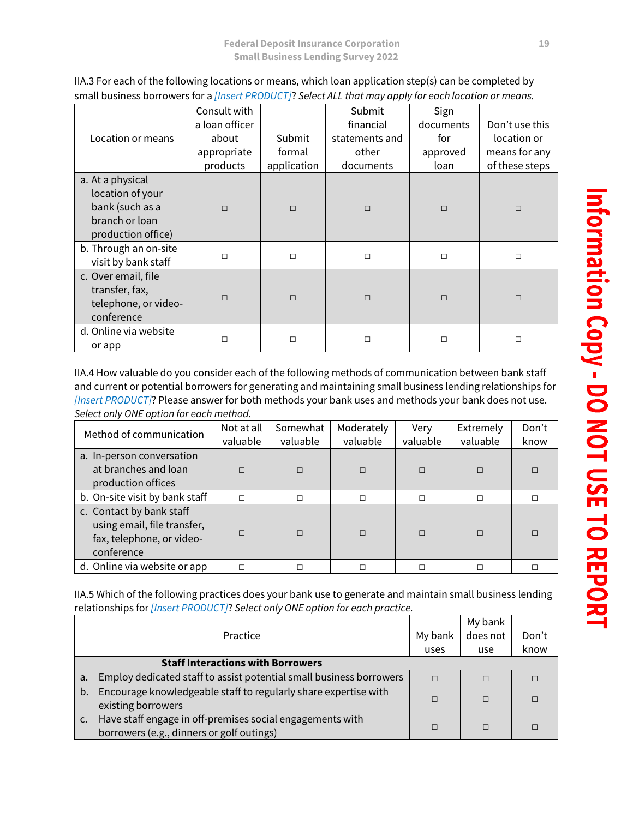| Location or means                                                                               | Consult with<br>a loan officer<br>about<br>appropriate<br>products | Submit<br>formal<br>application | Submit<br>financial<br>statements and<br>other<br>documents | Sign<br>documents<br>for<br>approved<br>loan | Don't use this<br>location or<br>means for any<br>of these steps |
|-------------------------------------------------------------------------------------------------|--------------------------------------------------------------------|---------------------------------|-------------------------------------------------------------|----------------------------------------------|------------------------------------------------------------------|
| a. At a physical<br>location of your<br>bank (such as a<br>branch or loan<br>production office) | $\Box$                                                             | $\Box$                          | $\Box$                                                      | $\Box$                                       | $\Box$                                                           |
| b. Through an on-site<br>visit by bank staff                                                    | $\Box$                                                             | $\Box$                          | $\Box$                                                      | $\Box$                                       | $\Box$                                                           |
| c. Over email, file<br>transfer, fax,<br>telephone, or video-<br>conference                     | $\Box$                                                             | $\Box$                          | $\Box$                                                      | П                                            | $\Box$                                                           |
| d. Online via website<br>or app                                                                 | П                                                                  | $\Box$                          | П                                                           | П                                            | □                                                                |

IIA.3 For each of the following locations or means, which loan application step(s) can be completed by small business borrowers for a *[Insert PRODUCT]*? *Select ALL that may apply for each location or means.*

IIA.4 How valuable do you consider each of the following methods of communication between bank staff and current or potential borrowers for generating and maintaining small business lending relationships for *[Insert PRODUCT]*? Please answer for both methods your bank uses and methods your bank does not use. *Select only ONE option for each method.*

| Method of communication                                                                            | Not at all<br>valuable | Somewhat<br>valuable | Moderately<br>valuable | Very<br>valuable | Extremely<br>valuable | Don't<br>know |
|----------------------------------------------------------------------------------------------------|------------------------|----------------------|------------------------|------------------|-----------------------|---------------|
| a. In-person conversation<br>at branches and loan<br>production offices                            | П                      | $\Box$               | $\Box$                 |                  | П                     |               |
| b. On-site visit by bank staff                                                                     | П                      |                      | $\Box$                 |                  |                       |               |
| c. Contact by bank staff<br>using email, file transfer,<br>fax, telephone, or video-<br>conference | П                      | $\Box$               | $\Box$                 |                  | $\Box$                |               |
| d. Online via website or app                                                                       |                        |                      | П                      |                  |                       |               |

IIA.5 Which of the following practices does your bank use to generate and maintain small business lending relationships for *[Insert PRODUCT]*? *Select only ONE option for each practice.*

|             |                                                                        |         | My bank  |       |
|-------------|------------------------------------------------------------------------|---------|----------|-------|
|             | Practice                                                               | My bank | does not | Don't |
|             |                                                                        | uses    | use      | know  |
|             | <b>Staff Interactions with Borrowers</b>                               |         |          |       |
|             | a. Employ dedicated staff to assist potential small business borrowers | $\Box$  | П        |       |
| $b_{\cdot}$ | Encourage knowledgeable staff to regularly share expertise with        |         |          |       |
|             | existing borrowers                                                     |         | г        |       |
|             | Have staff engage in off-premises social engagements with              |         |          |       |
|             | borrowers (e.g., dinners or golf outings)                              |         |          |       |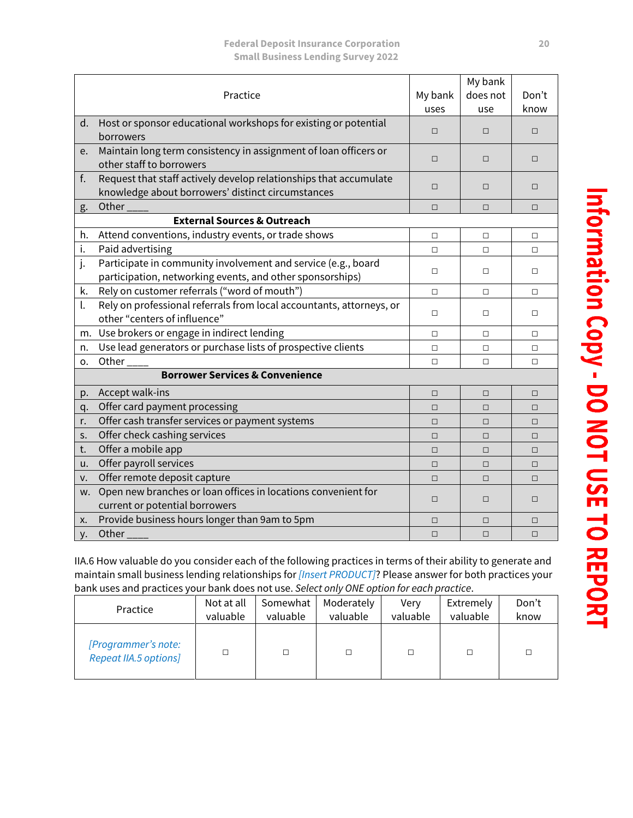|           | Practice                                                                                                                   | My bank<br>uses | My bank<br>does not<br>use | Don't<br>know |
|-----------|----------------------------------------------------------------------------------------------------------------------------|-----------------|----------------------------|---------------|
| d.        | Host or sponsor educational workshops for existing or potential<br>borrowers                                               | $\Box$          | $\Box$                     | $\Box$        |
| е.        | Maintain long term consistency in assignment of loan officers or<br>other staff to borrowers                               | $\Box$          | $\Box$                     | $\Box$        |
| f.        | Request that staff actively develop relationships that accumulate<br>knowledge about borrowers' distinct circumstances     | $\Box$          | $\Box$                     | $\Box$        |
| g.        | Other                                                                                                                      | $\Box$          | $\Box$                     | $\Box$        |
|           | <b>External Sources &amp; Outreach</b>                                                                                     |                 |                            |               |
| h.        | Attend conventions, industry events, or trade shows                                                                        | $\Box$          | □                          | $\Box$        |
| i.        | Paid advertising                                                                                                           | $\Box$          | $\Box$                     | $\Box$        |
| j.        | Participate in community involvement and service (e.g., board<br>participation, networking events, and other sponsorships) | $\Box$          | П                          | $\Box$        |
| k.        | Rely on customer referrals ("word of mouth")                                                                               | $\Box$          | $\Box$                     | $\Box$        |
| l.        | Rely on professional referrals from local accountants, attorneys, or<br>other "centers of influence"                       | $\Box$          | $\Box$                     | $\Box$        |
| m.        | Use brokers or engage in indirect lending                                                                                  | $\Box$          | $\Box$                     | □             |
| n.        | Use lead generators or purchase lists of prospective clients                                                               | $\Box$          | $\Box$                     | $\Box$        |
| 0.        | Other                                                                                                                      | $\Box$          | $\Box$                     | $\Box$        |
|           | <b>Borrower Services &amp; Convenience</b>                                                                                 |                 |                            |               |
| p.        | Accept walk-ins                                                                                                            | $\Box$          | $\Box$                     | $\Box$        |
| q.        | Offer card payment processing                                                                                              | $\Box$          | $\Box$                     | $\Box$        |
| r.        | Offer cash transfer services or payment systems                                                                            | $\Box$          | $\Box$                     | $\Box$        |
| S.        | Offer check cashing services                                                                                               | $\Box$          | $\Box$                     | $\Box$        |
| t.        | Offer a mobile app                                                                                                         | $\Box$          | $\Box$                     | $\Box$        |
| u.        | Offer payroll services                                                                                                     | $\Box$          | $\Box$                     | $\Box$        |
| v.        | Offer remote deposit capture                                                                                               | $\Box$          | $\Box$                     | $\Box$        |
| W.        | Open new branches or loan offices in locations convenient for<br>current or potential borrowers                            | $\Box$          | $\Box$                     | $\Box$        |
| x.        | Provide business hours longer than 9am to 5pm                                                                              | $\Box$          | $\Box$                     | $\Box$        |
| <b>y.</b> | Other                                                                                                                      | $\Box$          | $\Box$                     | $\Box$        |

IIA.6 How valuable do you consider each of the following practices in terms of their ability to generate and maintain small business lending relationships for *[Insert PRODUCT]*? Please answer for both practices your bank uses and practices your bank does not use. *Select only ONE option for each practice*.

| Practice                                     | Not at all | Somewhat | Moderately | Verv     | Extremely | Don't  |
|----------------------------------------------|------------|----------|------------|----------|-----------|--------|
|                                              | valuable   | valuable | valuable   | valuable | valuable  | know   |
| [Programmer's note:<br>Repeat IIA.5 options] |            |          | $\Box$     | □        |           | $\Box$ |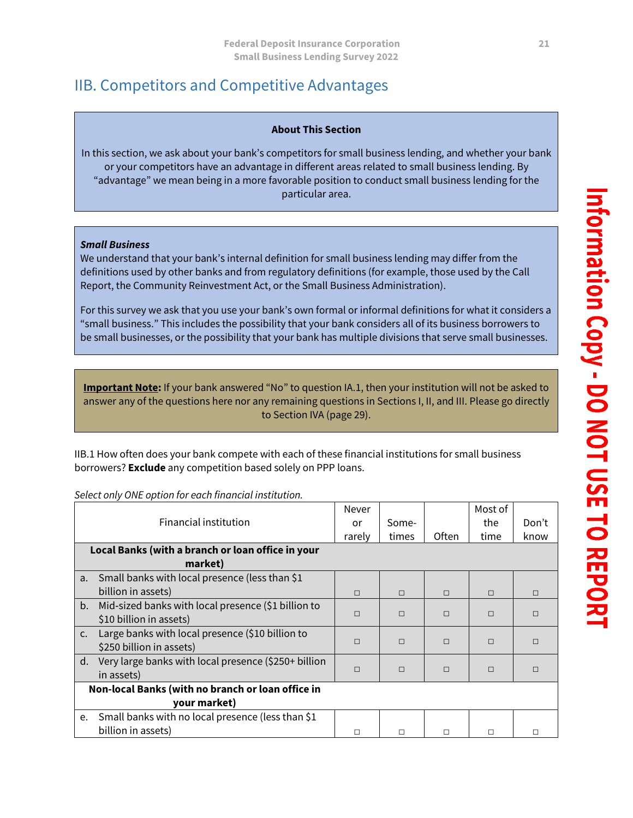# <span id="page-27-0"></span>IIB. Competitors and Competitive Advantages

### **About This Section**

In this section, we ask about your bank's competitors for small business lending, and whether your bank or your competitors have an advantage in different areas related to small business lending. By "advantage" we mean being in a more favorable position to conduct small business lending for the particular area.

### *Small Business*

We understand that your bank's internal definition for small business lending may differ from the definitions used by other banks and from regulatory definitions (for example, those used by the Call Report, the Community Reinvestment Act, or the Small Business Administration).

For this survey we ask that you use your bank's own formal or informal definitions for what it considers a "small business." This includes the possibility that your bank considers all of its business borrowers to be small businesses, or the possibility that your bank has multiple divisions that serve small businesses.

**Important Note:** If your bank answered "No" to question IA.1, then your institution will not be asked to answer any of the questions here nor any remaining questions in Sections I, II, and III. Please go directly to Section IVA (page 29).

IIB.1 How often does your bank compete with each of these financial institutions for small business borrowers? **Exclude** any competition based solely on PPP loans.

|               |                                                      | Never  |        |        | Most of |        |
|---------------|------------------------------------------------------|--------|--------|--------|---------|--------|
|               | Financial institution                                | or     | Some-  |        | the     | Don't  |
|               |                                                      | rarely | times  | Often  | time    | know   |
|               | Local Banks (with a branch or loan office in your    |        |        |        |         |        |
|               | market)                                              |        |        |        |         |        |
| a.            | Small banks with local presence (less than \$1       |        |        |        |         |        |
|               | billion in assets)                                   | $\Box$ | $\Box$ | $\Box$ | $\Box$  | $\Box$ |
| b.            | Mid-sized banks with local presence (\$1 billion to  | $\Box$ | $\Box$ | $\Box$ | $\Box$  | $\Box$ |
|               | \$10 billion in assets)                              |        |        |        |         |        |
| $C_{\bullet}$ | Large banks with local presence (\$10 billion to     |        |        |        |         |        |
|               | \$250 billion in assets)                             | $\Box$ | $\Box$ | $\Box$ | $\Box$  | $\Box$ |
| d.            | Very large banks with local presence (\$250+ billion |        |        |        |         |        |
|               | in assets)                                           | $\Box$ | $\Box$ | $\Box$ | $\Box$  | $\Box$ |
|               | Non-local Banks (with no branch or loan office in    |        |        |        |         |        |
|               | your market)                                         |        |        |        |         |        |
| e.            | Small banks with no local presence (less than \$1    |        |        |        |         |        |
|               | billion in assets)                                   | п      | П      | П      | П       | П      |

### *Select only ONE option for each financial institution.*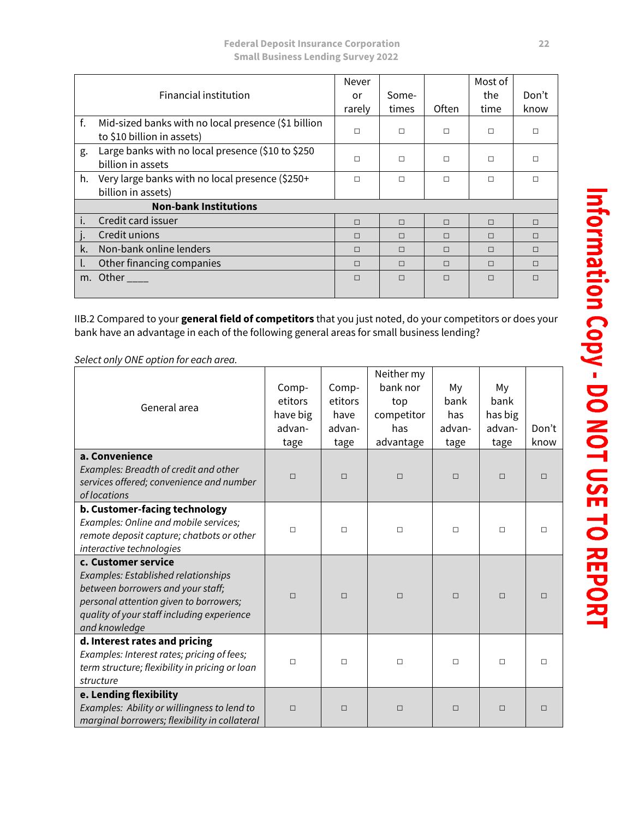|    | <b>Financial institution</b>                                                      | Never<br>or<br>rarely | Some-<br>times | Often  | Most of<br>the<br>time | Don't<br>know |
|----|-----------------------------------------------------------------------------------|-----------------------|----------------|--------|------------------------|---------------|
| f. | Mid-sized banks with no local presence (\$1 billion<br>to \$10 billion in assets) | $\Box$                | $\Box$         | $\Box$ | $\Box$                 | $\Box$        |
| g. | Large banks with no local presence (\$10 to \$250<br>billion in assets            | $\Box$                | $\Box$         | $\Box$ | $\Box$                 | П             |
| h. | Very large banks with no local presence (\$250+<br>billion in assets)             | $\Box$                | $\Box$         | $\Box$ | $\Box$                 | $\Box$        |
|    | <b>Non-bank Institutions</b>                                                      |                       |                |        |                        |               |
|    | Credit card issuer                                                                | $\Box$                | $\Box$         | $\Box$ | $\Box$                 | $\Box$        |
|    | Credit unions                                                                     | $\Box$                | $\Box$         | П      | $\Box$                 | $\Box$        |
| k. | Non-bank online lenders                                                           | $\Box$                | $\Box$         | П      | $\Box$                 | $\Box$        |
|    | Other financing companies                                                         | $\Box$                | $\Box$         | $\Box$ | $\Box$                 | $\Box$        |
|    | m. Other                                                                          | П                     | $\Box$         | П      | $\Box$                 | $\Box$        |

IIB.2 Compared to your **general field of competitors** that you just noted, do your competitors or does your bank have an advantage in each of the following general areas for small business lending?

*Select only ONE option for each area.* 

| General area                                                                                                                                                                                             | Comp-<br>etitors<br>have big<br>advan-<br>tage | Comp-<br>etitors<br>have<br>advan-<br>tage | Neither my<br>bank nor<br>top<br>competitor<br>has<br>advantage | My<br>bank<br>has<br>advan-<br>tage | My<br>bank<br>has big<br>advan-<br>tage | Don't<br>know |
|----------------------------------------------------------------------------------------------------------------------------------------------------------------------------------------------------------|------------------------------------------------|--------------------------------------------|-----------------------------------------------------------------|-------------------------------------|-----------------------------------------|---------------|
| a. Convenience                                                                                                                                                                                           |                                                |                                            |                                                                 |                                     |                                         |               |
| Examples: Breadth of credit and other<br>services offered; convenience and number                                                                                                                        | $\Box$                                         | $\Box$                                     | $\Box$                                                          | $\Box$                              | $\Box$                                  | $\Box$        |
| of locations                                                                                                                                                                                             |                                                |                                            |                                                                 |                                     |                                         |               |
| b. Customer-facing technology<br>Examples: Online and mobile services;<br>remote deposit capture; chatbots or other<br>interactive technologies                                                          | $\Box$                                         | $\Box$                                     | $\Box$                                                          | $\Box$                              | $\Box$                                  | П             |
| c. Customer service<br>Examples: Established relationships<br>between borrowers and your staff;<br>personal attention given to borrowers;<br>quality of your staff including experience<br>and knowledge | $\Box$                                         | П                                          | $\Box$                                                          | $\Box$                              | $\Box$                                  | П             |
| d. Interest rates and pricing<br>Examples: Interest rates; pricing of fees;<br>term structure; flexibility in pricing or loan<br>structure                                                               | $\Box$                                         | П                                          | $\Box$                                                          | $\Box$                              | $\Box$                                  | П             |
| e. Lending flexibility<br>Examples: Ability or willingness to lend to<br>marginal borrowers; flexibility in collateral                                                                                   | $\Box$                                         | $\Box$                                     | $\Box$                                                          | $\Box$                              | $\Box$                                  | $\Box$        |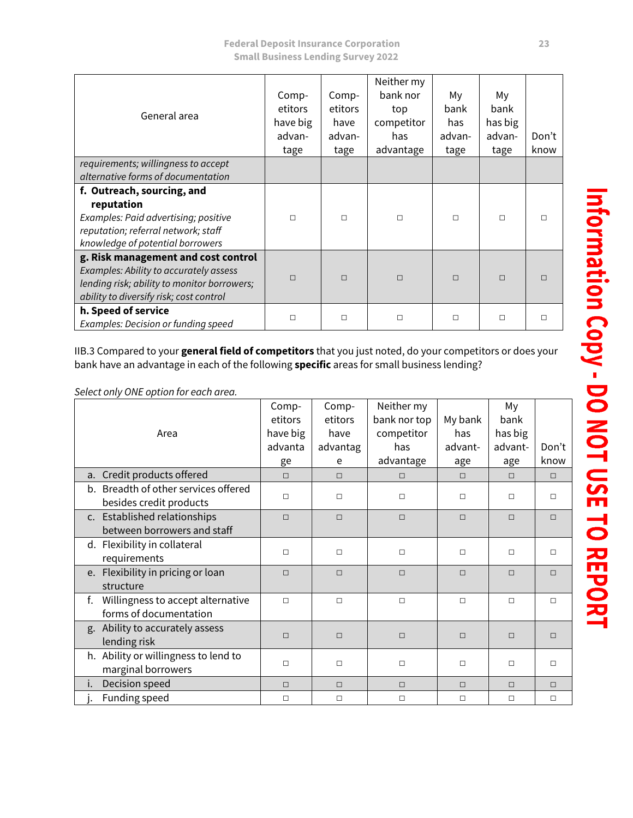| General area                                                                                                                                                            | Comp-<br>etitors<br>have big<br>advan-<br>tage | Comp-<br>etitors<br>have<br>advan-<br>tage | Neither my<br>bank nor<br>top<br>competitor<br>has<br>advantage | My<br>bank<br>has<br>advan-<br>tage | My<br>bank<br>has big<br>advan-<br>tage | Don't<br>know |
|-------------------------------------------------------------------------------------------------------------------------------------------------------------------------|------------------------------------------------|--------------------------------------------|-----------------------------------------------------------------|-------------------------------------|-----------------------------------------|---------------|
| requirements; willingness to accept                                                                                                                                     |                                                |                                            |                                                                 |                                     |                                         |               |
| alternative forms of documentation                                                                                                                                      |                                                |                                            |                                                                 |                                     |                                         |               |
| f. Outreach, sourcing, and<br>reputation<br>Examples: Paid advertising; positive<br>reputation; referral network; staff<br>knowledge of potential borrowers             | $\Box$                                         | $\Box$                                     | $\Box$                                                          | $\Box$                              | $\Box$                                  |               |
| g. Risk management and cost control<br>Examples: Ability to accurately assess<br>lending risk; ability to monitor borrowers;<br>ability to diversify risk; cost control | $\Box$                                         | $\Box$                                     | $\Box$                                                          | $\Box$                              | $\Box$                                  |               |
| h. Speed of service<br>Examples: Decision or funding speed                                                                                                              | $\Box$                                         | П                                          | $\Box$                                                          | $\Box$                              | $\Box$                                  |               |

IIB.3 Compared to your **general field of competitors** that you just noted, do your competitors or does your bank have an advantage in each of the following **specific** areas for small business lending?

*Select only ONE option for each area.*

| Area                                                              | Comp-<br>etitors<br>have big<br>advanta<br>ge | Comp-<br>etitors<br>have<br>advantag<br>e | Neither my<br>bank nor top<br>competitor<br>has<br>advantage | My bank<br>has<br>advant-<br>age | My<br>bank<br>has big<br>advant-<br>age | Don't<br>know |
|-------------------------------------------------------------------|-----------------------------------------------|-------------------------------------------|--------------------------------------------------------------|----------------------------------|-----------------------------------------|---------------|
| Credit products offered<br>a.                                     | $\Box$                                        | $\Box$                                    | $\Box$                                                       | $\Box$                           | $\Box$                                  | $\Box$        |
| b. Breadth of other services offered<br>besides credit products   | $\Box$                                        | $\Box$                                    | $\Box$                                                       | $\Box$                           | $\Box$                                  | $\Box$        |
| c. Established relationships<br>between borrowers and staff       | $\Box$                                        | $\Box$                                    | $\Box$                                                       | $\Box$                           | $\Box$                                  | $\Box$        |
| d. Flexibility in collateral<br>requirements                      | $\Box$                                        | $\Box$                                    | $\Box$                                                       | $\Box$                           | $\Box$                                  | $\Box$        |
| e. Flexibility in pricing or loan<br>structure                    | $\Box$                                        | $\Box$                                    | $\Box$                                                       | $\Box$                           | $\Box$                                  | $\Box$        |
| Willingness to accept alternative<br>f.<br>forms of documentation | $\Box$                                        | $\Box$                                    | $\Box$                                                       | $\Box$                           | $\Box$                                  | $\Box$        |
| g. Ability to accurately assess<br>lending risk                   | $\Box$                                        | $\Box$                                    | $\Box$                                                       | $\Box$                           | $\Box$                                  | $\Box$        |
| h. Ability or willingness to lend to<br>marginal borrowers        | $\Box$                                        | $\Box$                                    | $\Box$                                                       | $\Box$                           | $\Box$                                  | $\Box$        |
| Decision speed<br>Ι.                                              | $\Box$                                        | $\Box$                                    | $\Box$                                                       | $\Box$                           | $\Box$                                  | □             |
| Funding speed                                                     | $\Box$                                        | $\Box$                                    | $\Box$                                                       | $\Box$                           | $\Box$                                  | $\Box$        |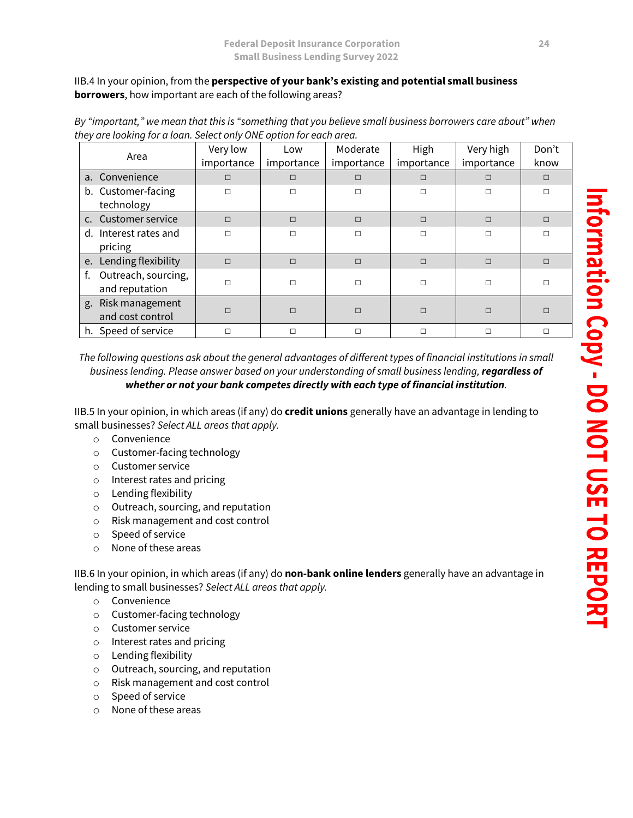### IIB.4 In your opinion, from the **perspective of your bank's existing and potential small business borrowers**, how important are each of the following areas?

|    | Area                   | Very low<br>importance | Low<br>importance | Moderate<br>importance | High<br>importance | Very high<br>importance | Don't<br>know |
|----|------------------------|------------------------|-------------------|------------------------|--------------------|-------------------------|---------------|
|    | a. Convenience         | П                      | $\Box$            | $\Box$                 | п                  | П                       | $\Box$        |
|    | b. Customer-facing     | $\Box$                 | $\Box$            | $\Box$                 | П                  | $\Box$                  | $\Box$        |
|    | technology             |                        |                   |                        |                    |                         |               |
|    | c. Customer service    | $\Box$                 | $\Box$            | $\Box$                 | $\Box$             | $\Box$                  | $\Box$        |
|    | d. Interest rates and  | $\Box$                 | $\Box$            | $\Box$                 | П                  | $\Box$                  | $\Box$        |
|    | pricing                |                        |                   |                        |                    |                         |               |
|    | e. Lending flexibility | $\Box$                 | $\Box$            | $\Box$                 | $\Box$             | $\Box$                  | $\Box$        |
| f. | Outreach, sourcing,    | $\Box$                 | $\Box$            | □                      |                    | $\Box$                  | П             |
|    | and reputation         |                        |                   |                        |                    |                         |               |
|    | g. Risk management     | $\Box$                 | $\Box$            | □                      |                    | $\Box$                  | $\Box$        |
|    | and cost control       |                        |                   |                        | П                  |                         |               |
|    | h. Speed of service    | $\Box$                 | $\Box$            | $\Box$                 | □                  | $\Box$                  |               |

*By "important," we mean that this is "something that you believe small business borrowers care about" when they are looking for a loan. Select only ONE option for each area.*

*The following questions ask about the general advantages of different types of financial institutions in small business lending. Please answer based on your understanding of small business lending, regardless of whether or not your bank competes directly with each type of financial institution.* 

IIB.5 In your opinion, in which areas (if any) do **credit unions** generally have an advantage in lending to small businesses? *Select ALL areas that apply.*

- o Convenience
- o Customer-facing technology
- o Customer service
- o Interest rates and pricing
- o Lending flexibility
- o Outreach, sourcing, and reputation
- o Risk management and cost control
- o Speed of service
- o None of these areas

IIB.6 In your opinion, in which areas (if any) do **non-bank online lenders** generally have an advantage in lending to small businesses? *Select ALL areas that apply.*

- o Convenience
- o Customer-facing technology
- o Customer service
- o Interest rates and pricing
- o Lending flexibility
- o Outreach, sourcing, and reputation
- o Risk management and cost control
- o Speed of service
- o None of these areas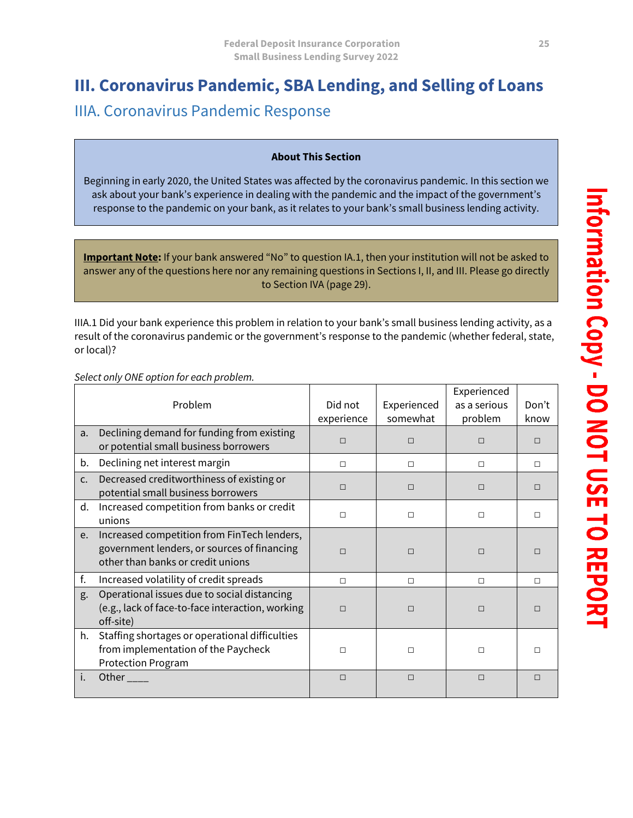# <span id="page-31-0"></span>**III. Coronavirus Pandemic, SBA Lending, and Selling of Loans**

<span id="page-31-1"></span>IIIA. Coronavirus Pandemic Response

### **About This Section**

Beginning in early 2020, the United States was affected by the coronavirus pandemic. In this section we ask about your bank's experience in dealing with the pandemic and the impact of the government's response to the pandemic on your bank, as it relates to your bank's small business lending activity.

**Important Note:** If your bank answered "No" to question IA.1, then your institution will not be asked to answer any of the questions here nor any remaining questions in Sections I, II, and III. Please go directly to Section IVA (page 29).

IIIA.1 Did your bank experience this problem in relation to your bank's small business lending activity, as a result of the coronavirus pandemic or the government's response to the pandemic (whether federal, state, or local)?

*Select only ONE option for each problem.*

|               | Problem                                                                                                                         | Did not<br>experience | Experienced<br>somewhat | Experienced<br>as a serious<br>problem | Don't<br>know |
|---------------|---------------------------------------------------------------------------------------------------------------------------------|-----------------------|-------------------------|----------------------------------------|---------------|
| a.            | Declining demand for funding from existing<br>or potential small business borrowers                                             | $\Box$                | П                       | П                                      | П             |
| b.            | Declining net interest margin                                                                                                   | $\Box$                | П                       | П                                      | П             |
| $C_{\bullet}$ | Decreased creditworthiness of existing or<br>potential small business borrowers                                                 | $\Box$                | П                       | П                                      | П             |
| d.            | Increased competition from banks or credit<br>unions                                                                            | $\Box$                | $\Box$                  | □                                      | п             |
| e.            | Increased competition from FinTech lenders,<br>government lenders, or sources of financing<br>other than banks or credit unions | $\Box$                | П                       | П                                      |               |
| f.            | Increased volatility of credit spreads                                                                                          | $\Box$                | П                       | П                                      | П             |
| g.            | Operational issues due to social distancing<br>(e.g., lack of face-to-face interaction, working<br>off-site)                    | $\Box$                | П                       | П                                      |               |
| h.            | Staffing shortages or operational difficulties<br>from implementation of the Paycheck<br><b>Protection Program</b>              | п                     | П                       | П                                      |               |
| Ι.            | Other                                                                                                                           | $\Box$                | $\Box$                  | $\Box$                                 | $\Box$        |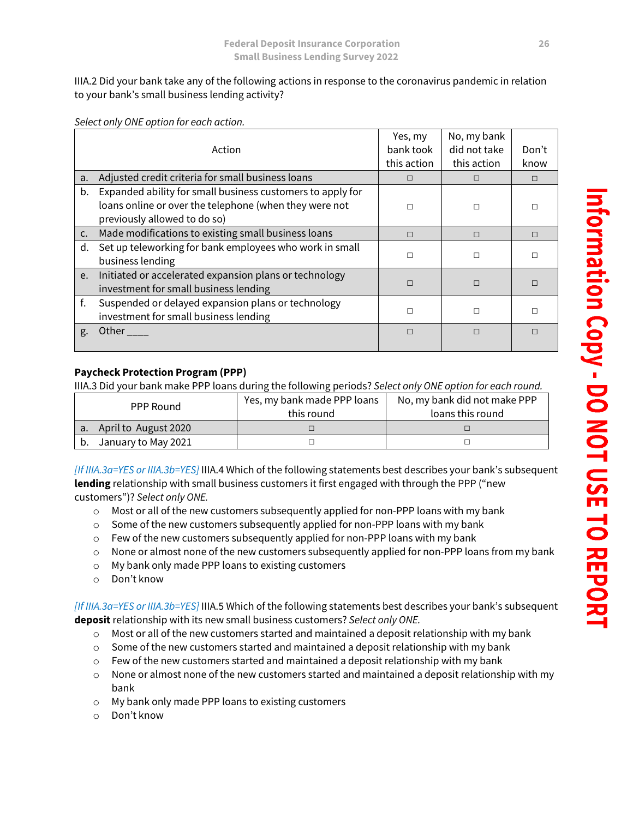### IIIA.2 Did your bank take any of the following actions in response to the coronavirus pandemic in relation to your bank's small business lending activity?

*Select only ONE option for each action.*

|                | Action                                                                                                                                               | Yes, my<br>bank took<br>this action | No, my bank<br>did not take<br>this action | Don't<br>know |
|----------------|------------------------------------------------------------------------------------------------------------------------------------------------------|-------------------------------------|--------------------------------------------|---------------|
| a.             | Adjusted credit criteria for small business loans                                                                                                    | $\Box$                              | $\Box$                                     | $\Box$        |
| b.             | Expanded ability for small business customers to apply for<br>loans online or over the telephone (when they were not<br>previously allowed to do so) | П                                   | $\Box$                                     |               |
| C <sub>1</sub> | Made modifications to existing small business loans                                                                                                  | П                                   | $\Box$                                     | $\Box$        |
| d.             | Set up teleworking for bank employees who work in small<br>business lending                                                                          | П                                   | $\Box$                                     |               |
| e.             | Initiated or accelerated expansion plans or technology<br>investment for small business lending                                                      | П                                   | $\Box$                                     | П             |
| f.             | Suspended or delayed expansion plans or technology<br>investment for small business lending                                                          | п                                   | П                                          | П             |
| g.             | Other                                                                                                                                                | П                                   | $\Box$                                     |               |

### **Paycheck Protection Program (PPP)**

IIIA.3 Did your bank make PPP loans during the following periods? *Select only ONE option for each round.*

| PPP Round            | Yes, my bank made PPP loans<br>this round | No, my bank did not make PPP<br>loans this round |
|----------------------|-------------------------------------------|--------------------------------------------------|
| April to August 2020 |                                           |                                                  |
| January to May 2021  |                                           |                                                  |

*[If IIIA.3a=YES or IIIA.3b=YES]* IIIA.4 Which of the following statements best describes your bank's subsequent **lending** relationship with small business customers it first engaged with through the PPP ("new customers")? *Select only ONE.*

- $\circ$  Most or all of the new customers subsequently applied for non-PPP loans with my bank
- $\circ$  Some of the new customers subsequently applied for non-PPP loans with my bank
- $\circ$  Few of the new customers subsequently applied for non-PPP loans with my bank
- $\circ$  None or almost none of the new customers subsequently applied for non-PPP loans from my bank
- o My bank only made PPP loans to existing customers
- o Don't know

*[If IIIA.3a=YES or IIIA.3b=YES]* IIIA.5 Which of the following statements best describes your bank's subsequent **deposit**relationship with its new small business customers? *Select only ONE.*

- $\circ$  Most or all of the new customers started and maintained a deposit relationship with my bank
- $\circ$  Some of the new customers started and maintained a deposit relationship with my bank
- $\circ$  Few of the new customers started and maintained a deposit relationship with my bank
- $\circ$  None or almost none of the new customers started and maintained a deposit relationship with my bank
- o My bank only made PPP loans to existing customers
- o Don't know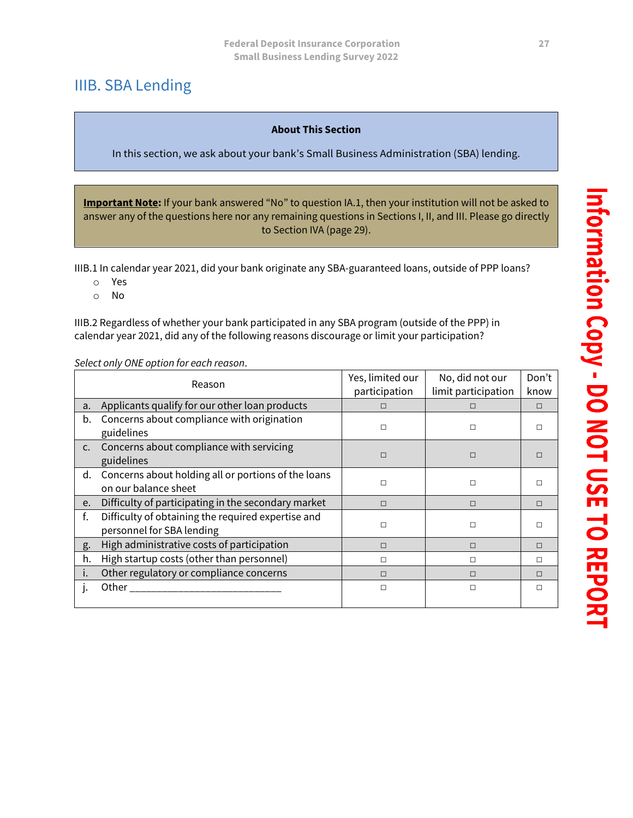# <span id="page-33-0"></span>IIIB. SBA Lending

### **About This Section**

In this section, we ask about your bank's Small Business Administration (SBA) lending.

**Important Note:** If your bank answered "No" to question IA.1, then your institution will not be asked to answer any of the questions here nor any remaining questions in Sections I, II, and III. Please go directly to Section IVA (page 29).

IIIB.1 In calendar year 2021, did your bank originate any SBA-guaranteed loans, outside of PPP loans?

- o Yes
- o No

IIIB.2 Regardless of whether your bank participated in any SBA program (outside of the PPP) in calendar year 2021, did any of the following reasons discourage or limit your participation?

### *Select only ONE option for each reason*.

|                | Reason                                                                          | Yes, limited our<br>participation | No, did not our<br>limit participation | Don't<br>know |
|----------------|---------------------------------------------------------------------------------|-----------------------------------|----------------------------------------|---------------|
| a.             | Applicants qualify for our other loan products                                  | П                                 | $\Box$                                 | $\Box$        |
| b.             | Concerns about compliance with origination<br>guidelines                        | $\Box$                            | $\Box$                                 | П             |
| $\mathsf{C}$ . | Concerns about compliance with servicing<br>guidelines                          | $\Box$                            | $\Box$                                 |               |
| d.             | Concerns about holding all or portions of the loans<br>on our balance sheet     | $\Box$                            | $\Box$                                 |               |
| e.             | Difficulty of participating in the secondary market                             | П                                 | $\Box$                                 | П             |
| f.             | Difficulty of obtaining the required expertise and<br>personnel for SBA lending | $\Box$                            | $\Box$                                 | П             |
| g.             | High administrative costs of participation                                      | $\Box$                            | $\Box$                                 | $\Box$        |
| h.             | High startup costs (other than personnel)                                       | $\Box$                            | $\Box$                                 | □             |
| $\mathsf{L}$   | Other regulatory or compliance concerns                                         | П                                 | $\Box$                                 | П             |
|                | Other                                                                           | П                                 | П                                      | П             |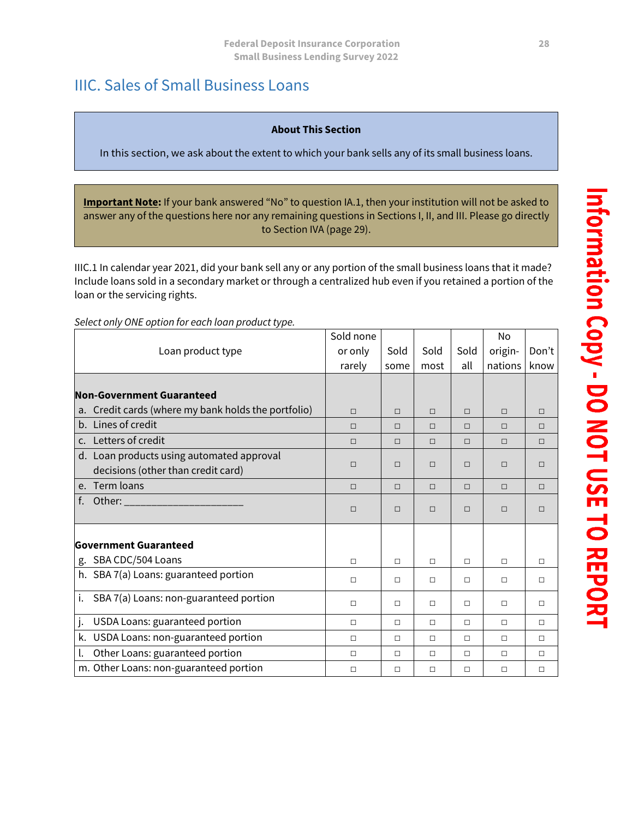# <span id="page-34-0"></span>IIIC. Sales of Small Business Loans

### **About This Section**

In this section, we ask about the extent to which your bank sells any of its small business loans.

**Important Note:** If your bank answered "No" to question IA.1, then your institution will not be asked to answer any of the questions here nor any remaining questions in Sections I, II, and III. Please go directly to Section IVA (page 29).

IIIC.1 In calendar year 2021, did your bank sell any or any portion of the small business loans that it made? Include loans sold in a secondary market or through a centralized hub even if you retained a portion of the loan or the servicing rights.

*Select only ONE option for each loan product type.*

|                                                     | Sold none |        |        |        | No      |        |
|-----------------------------------------------------|-----------|--------|--------|--------|---------|--------|
| Loan product type                                   | or only   | Sold   | Sold   | Sold   | origin- | Don't  |
|                                                     | rarely    | some   | most   | all    | nations | know   |
|                                                     |           |        |        |        |         |        |
| <b>Non-Government Guaranteed</b>                    |           |        |        |        |         |        |
| a. Credit cards (where my bank holds the portfolio) | $\Box$    | $\Box$ | $\Box$ | $\Box$ | $\Box$  | $\Box$ |
| b. Lines of credit                                  | П         | $\Box$ | П      | $\Box$ | $\Box$  | $\Box$ |
| c. Letters of credit                                | $\Box$    | $\Box$ | $\Box$ | $\Box$ | $\Box$  | $\Box$ |
| d. Loan products using automated approval           | $\Box$    |        |        |        |         |        |
| decisions (other than credit card)                  |           | $\Box$ | П      | $\Box$ | $\Box$  | $\Box$ |
| e. Term loans                                       | $\Box$    | $\Box$ | $\Box$ | $\Box$ | $\Box$  | $\Box$ |
| f. Other: ___________________                       | $\Box$    | $\Box$ | П      | $\Box$ | $\Box$  | $\Box$ |
|                                                     |           |        |        |        |         |        |
|                                                     |           |        |        |        |         |        |
| <b>Government Guaranteed</b>                        |           |        |        |        |         |        |
| g. SBA CDC/504 Loans                                | $\Box$    | $\Box$ | $\Box$ | $\Box$ | $\Box$  | $\Box$ |
| h. SBA 7(a) Loans: guaranteed portion               | $\Box$    | $\Box$ | $\Box$ | $\Box$ | $\Box$  | $\Box$ |
| i.<br>SBA 7(a) Loans: non-guaranteed portion        | $\Box$    | $\Box$ | П      | $\Box$ | $\Box$  | $\Box$ |
| j.<br>USDA Loans: guaranteed portion                | $\Box$    | $\Box$ | $\Box$ | $\Box$ | $\Box$  | $\Box$ |
| k. USDA Loans: non-guaranteed portion               | $\Box$    | $\Box$ | П      | $\Box$ | $\Box$  | $\Box$ |
| Other Loans: guaranteed portion<br>l.               | $\Box$    | $\Box$ | $\Box$ | $\Box$ | $\Box$  | $\Box$ |
| m. Other Loans: non-guaranteed portion              | $\Box$    | $\Box$ | $\Box$ | $\Box$ | $\Box$  | $\Box$ |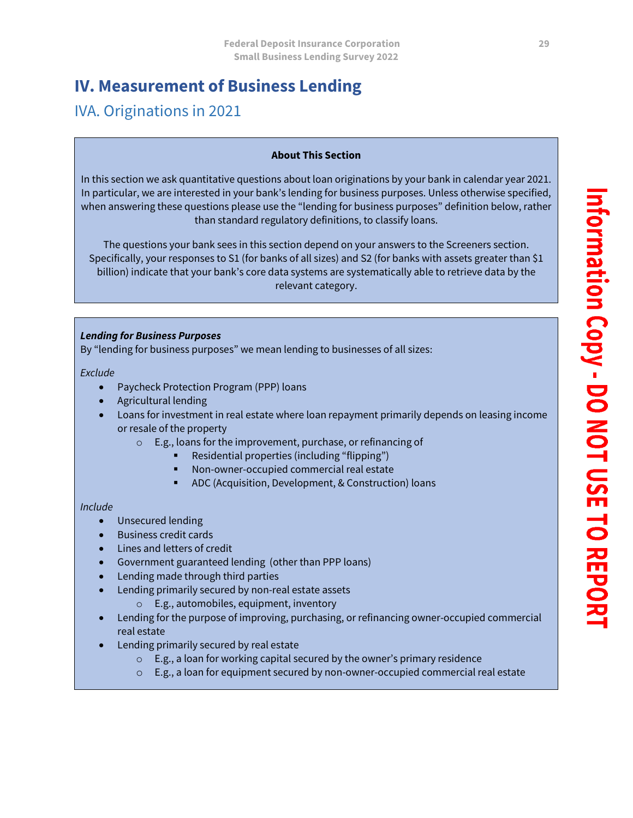# <span id="page-35-0"></span>**IV. Measurement of Business Lending**

# <span id="page-35-1"></span>IVA. Originations in 2021

### **About This Section**

In this section we ask quantitative questions about loan originations by your bank in calendar year 2021. In particular, we are interested in your bank's lending for business purposes. Unless otherwise specified, when answering these questions please use the "lending for business purposes" definition below, rather than standard regulatory definitions, to classify loans.

The questions your bank sees in this section depend on your answers to the Screeners section. Specifically, your responses to S1 (for banks of all sizes) and S2 (for banks with assets greater than \$1 billion) indicate that your bank's core data systems are systematically able to retrieve data by the relevant category.

### *Lending for Business Purposes*

By "lending for business purposes" we mean lending to businesses of all sizes:

*Exclude*

- Paycheck Protection Program (PPP) loans
- Agricultural lending
- Loans for investment in real estate where loan repayment primarily depends on leasing income or resale of the property
	- o E.g., loans for the improvement, purchase, or refinancing of
		- Residential properties (including "flipping")
		- Non-owner-occupied commercial real estate
		- ADC (Acquisition, Development, & Construction) loans

### *Include*

- Unsecured lending
- Business credit cards
- Lines and letters of credit
- Government guaranteed lending (other than PPP loans)
- Lending made through third parties
- Lending primarily secured by non-real estate assets
	- o E.g., automobiles, equipment, inventory
- Lending for the purpose of improving, purchasing, or refinancing owner-occupied commercial real estate
- Lending primarily secured by real estate
	- o E.g., a loan for working capital secured by the owner's primary residence
	- $\circ$  E.g., a loan for equipment secured by non-owner-occupied commercial real estate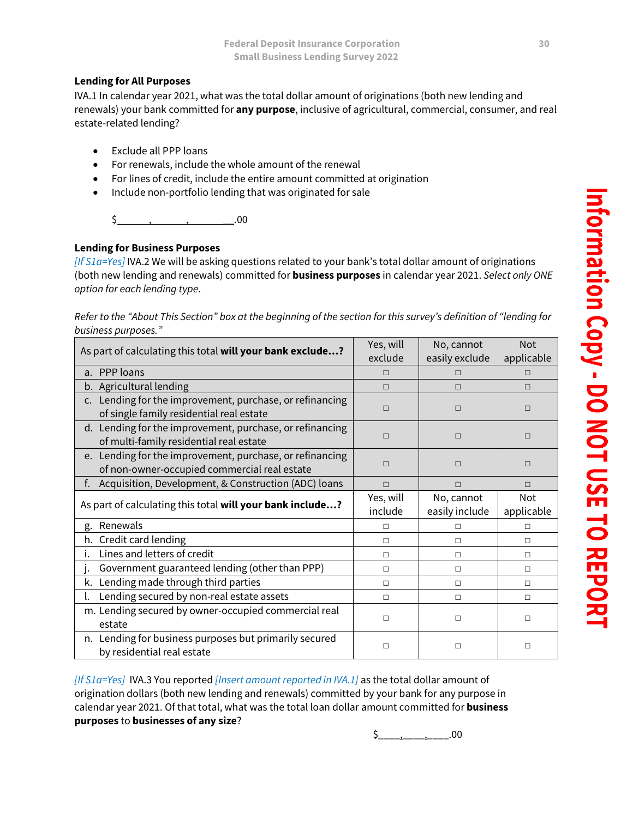### **Lending for All Purposes**

IVA.1 In calendar year 2021, what was the total dollar amount of originations (both new lending and renewals) your bank committed for **any purpose**, inclusive of agricultural, commercial, consumer, and real estate-related lending?

- Exclude all PPP loans
- For renewals, include the whole amount of the renewal
- For lines of credit, include the entire amount committed at origination
- Include non-portfolio lending that was originated for sale

 $$$  , 00

### **Lending for Business Purposes**

*[If S1a=Yes]* IVA.2 We will be asking questions related to your bank's total dollar amount of originations (both new lending and renewals) committed for **business purposes** in calendar year 2021. *Select only ONE option for each lending type*.

*Refer to the "About This Section" box at the beginning of the section for this survey's definition of "lending for business purposes."* 

| As part of calculating this total will your bank exclude?                                                | Yes, will<br>exclude | No, cannot<br>easily exclude | <b>Not</b><br>applicable |
|----------------------------------------------------------------------------------------------------------|----------------------|------------------------------|--------------------------|
| PPP loans<br>a.                                                                                          | $\Box$               | П                            | П                        |
| b. Agricultural lending                                                                                  | $\Box$               | $\Box$                       | $\Box$                   |
| c. Lending for the improvement, purchase, or refinancing<br>of single family residential real estate     | П                    | $\Box$                       | П                        |
| d. Lending for the improvement, purchase, or refinancing<br>of multi-family residential real estate      | $\Box$               | $\Box$                       | $\Box$                   |
| e. Lending for the improvement, purchase, or refinancing<br>of non-owner-occupied commercial real estate | П                    | $\Box$                       | П                        |
| Acquisition, Development, & Construction (ADC) loans<br>f.                                               | $\Box$               | $\Box$                       | П                        |
| As part of calculating this total will your bank include?                                                | Yes, will<br>include | No, cannot<br>easily include | <b>Not</b><br>applicable |
| Renewals<br>g.                                                                                           | $\Box$               | $\Box$                       | $\Box$                   |
| h. Credit card lending                                                                                   | $\Box$               | $\Box$                       | $\Box$                   |
| Lines and letters of credit<br>Ι.                                                                        | $\Box$               | $\Box$                       | $\Box$                   |
| Government guaranteed lending (other than PPP)                                                           | $\Box$               | $\Box$                       | $\Box$                   |
| Lending made through third parties<br>k.                                                                 | П.                   | $\Box$                       | $\Box$                   |
| Lending secured by non-real estate assets                                                                | $\Box$               | $\Box$                       | $\Box$                   |
| m. Lending secured by owner-occupied commercial real<br>estate                                           | $\Box$               | $\Box$                       | П                        |
| n. Lending for business purposes but primarily secured<br>by residential real estate                     | $\Box$               | $\Box$                       | $\Box$                   |

*[If S1a=Yes]* IVA.3 You reported *[Insert amount reported in IVA.1]* as the total dollar amount of origination dollars (both new lending and renewals) committed by your bank for any purpose in calendar year 2021. Of that total, what was the total loan dollar amount committed for **business purposes** to **businesses of any size**?

 $$_2$ , , .00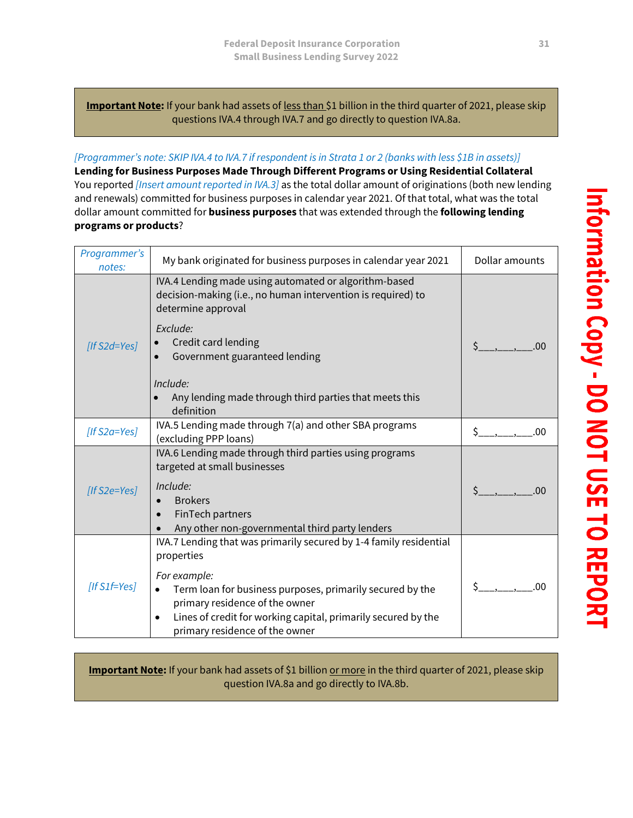### **Important Note:** If your bank had assets of less than \$1 billion in the third quarter of 2021, please skip questions IVA.4 through IVA.7 and go directly to question IVA.8a.

### *[Programmer's note: SKIP IVA.4 to IVA.7 if respondent is in Strata 1 or 2 (banks with less \$1B in assets)]*

**Lending for Business Purposes Made Through Different Programs or Using Residential Collateral** You reported *[Insert amount reported in IVA.3]* as the total dollar amount of originations (both new lending and renewals) committed for business purposes in calendar year 2021. Of that total, what was the total dollar amount committed for **business purposes** that was extended through the **following lending programs or products**?

| Programmer's<br>notes: | My bank originated for business purposes in calendar year 2021                                                                                                                                                 | Dollar amounts   |
|------------------------|----------------------------------------------------------------------------------------------------------------------------------------------------------------------------------------------------------------|------------------|
|                        | IVA.4 Lending made using automated or algorithm-based<br>decision-making (i.e., no human intervention is required) to<br>determine approval                                                                    |                  |
| $[If S2d = Yes]$       | Exclude:<br>Credit card lending<br>Government guaranteed lending                                                                                                                                               | $\zeta$ ,<br>.00 |
|                        | Include:<br>Any lending made through third parties that meets this<br>definition                                                                                                                               |                  |
| [If $S2a = Yes$ ]      | IVA.5 Lending made through 7(a) and other SBA programs<br>(excluding PPP loans)                                                                                                                                | .00              |
|                        | IVA.6 Lending made through third parties using programs<br>targeted at small businesses                                                                                                                        |                  |
| $[If S2e = Yes]$       | Include:<br><b>Brokers</b><br>FinTech partners<br>Any other non-governmental third party lenders                                                                                                               | \$<br>.00        |
|                        | IVA.7 Lending that was primarily secured by 1-4 family residential<br>properties                                                                                                                               |                  |
| $[If S1f = Yes]$       | For example:<br>Term loan for business purposes, primarily secured by the<br>primary residence of the owner<br>Lines of credit for working capital, primarily secured by the<br>primary residence of the owner | .00              |

### **Important Note:** If your bank had assets of \$1 billion or more in the third quarter of 2021, please skip question IVA.8a and go directly to IVA.8b.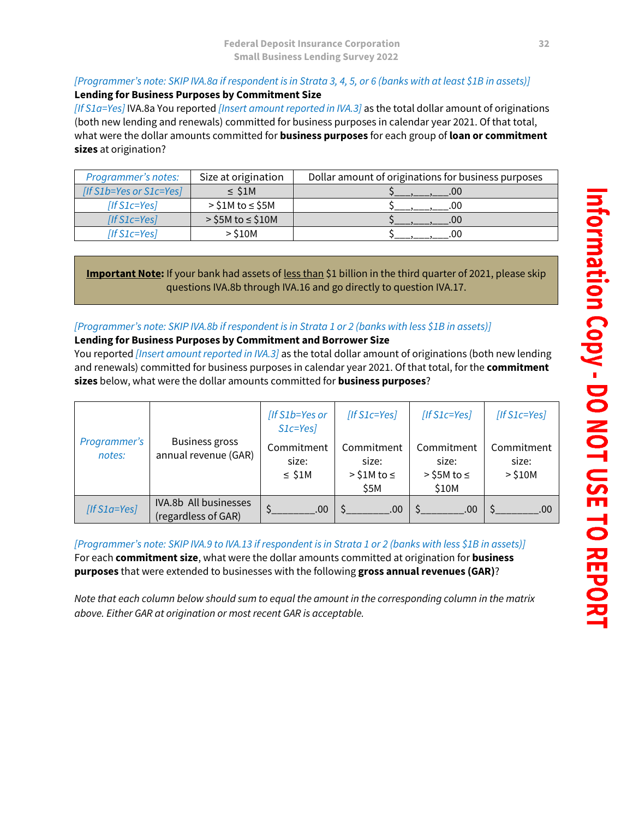### *[Programmer's note: SKIP IVA.8a if respondent is in Strata 3, 4, 5, or 6 (banks with at least \$1B in assets)]*  **Lending for Business Purposes by Commitment Size**

*[If S1a=Yes]* IVA.8a You reported *[Insert amount reported in IVA.3]* as the total dollar amount of originations (both new lending and renewals) committed for business purposes in calendar year 2021. Of that total, what were the dollar amounts committed for **business purposes** for each group of **loan or commitment sizes** at origination?

| Programmer's notes:     | Size at origination     | Dollar amount of originations for business purposes |
|-------------------------|-------------------------|-----------------------------------------------------|
| [If S1b=Yes or S1c=Yes] | $\leq$ \$1M             |                                                     |
| $[If$ S1c=Yes $]$       | $>$ \$1M to $\le$ \$5M  |                                                     |
| $[If$ S1c=Yes]          | $>$ \$5M to $\le$ \$10M |                                                     |
| $[If$ S1c=Yes $]$       | $>$ \$10M               |                                                     |

**Important Note:** If your bank had assets of less than \$1 billion in the third quarter of 2021, please skip questions IVA.8b through IVA.16 and go directly to question IVA.17.

### *[Programmer's note: SKIP IVA.8b if respondent is in Strata 1 or 2 (banks with less \$1B in assets)]*

### **Lending for Business Purposes by Commitment and Borrower Size**

You reported *[Insert amount reported in IVA.3]* as the total dollar amount of originations (both new lending and renewals) committed for business purposes in calendar year 2021. Of that total, for the **commitment sizes** below, what were the dollar amounts committed for **business purposes**?

|                        |                                               | [If S1b=Yes or<br>$S1c = Yes$      | $[If S1c = Yes]$                                 | $[If$ S1c=Yes]                                    | $[If$ S1c=Yes]                   |
|------------------------|-----------------------------------------------|------------------------------------|--------------------------------------------------|---------------------------------------------------|----------------------------------|
| Programmer's<br>notes: | <b>Business gross</b><br>annual revenue (GAR) | Commitment<br>size:<br>$\leq$ \$1M | Commitment<br>size:<br>$>$ \$1M to $\le$<br>\$5M | Commitment<br>size:<br>$>$ \$5M to $\le$<br>\$10M | Commitment<br>size:<br>$>$ \$10M |
| $[If SIa = Yes]$       | IVA.8b All businesses<br>(regardless of GAR)  | .00                                | .00.                                             | .00                                               | .00                              |

*[Programmer's note: SKIP IVA.9 to IVA.13 if respondent is in Strata 1 or 2 (banks with less \$1B in assets)]* For each **commitment size**, what were the dollar amounts committed at origination for **business purposes** that were extended to businesses with the following **gross annual revenues (GAR)**?

*Note that each column below should sum to equal the amount in the corresponding column in the matrix above. Either GAR at origination or most recent GAR is acceptable.*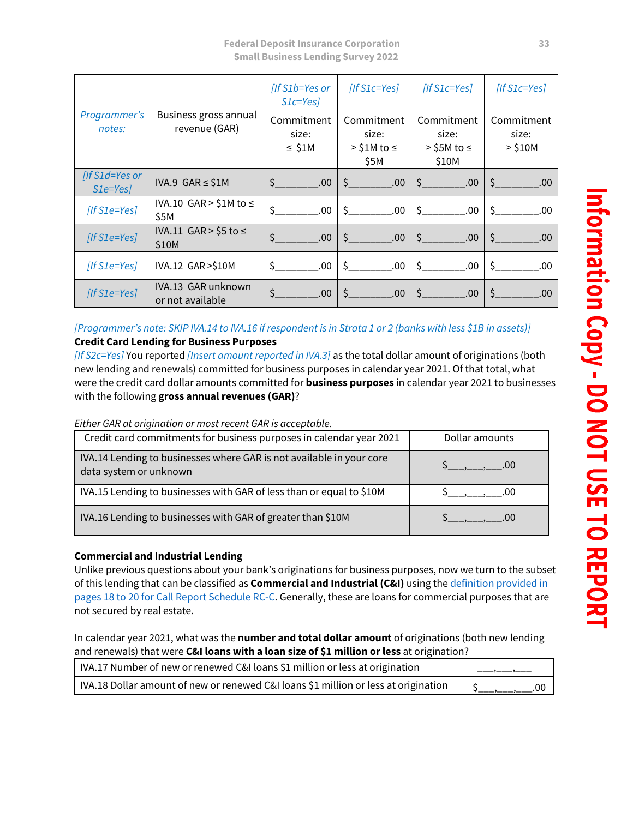|                               |                                        | [If S1b=Yes or<br>$S1c = Yes$      | $[If$ S1c=Yes]                                   | $[If$ S1c=Yes]                                   | $[If$ S1c=Yes]                   |
|-------------------------------|----------------------------------------|------------------------------------|--------------------------------------------------|--------------------------------------------------|----------------------------------|
| Programmer's<br>notes:        | Business gross annual<br>revenue (GAR) | Commitment<br>size:<br>$\leq$ \$1M | Commitment<br>size:<br>$>$ \$1M to $\le$<br>\$5M | Commitment<br>size:<br>$>$ S5M to $\le$<br>\$10M | Commitment<br>size:<br>$>$ \$10M |
| [If S1d=Yes or<br>$S1e = Yes$ | IVA.9 $GAR \leq $1M$                   | $S$ .<br>.00.                      | $\zeta$ .00                                      | $\mathsf{S}$<br>$00$ .                           | S in<br>.00                      |
| $[If S1e = Yes]$              | IVA.10 GAR > \$1M to $\leq$<br>\$5M    | \$<br>.00                          | $\zeta$ .00                                      | $\zeta$<br>.00                                   | \$<br>.00                        |
| $[If S1e = Yes]$              | IVA.11 GAR > \$5 to $≤$<br>\$10M       | Ś.<br>.00.                         | $\zeta$<br>.00.                                  | \$<br>.00.                                       | \$<br>.00                        |
| $[If S1e = Yes]$              | IVA.12 GAR > \$10M                     | $\sim$ .00                         | $\sim$ .00                                       | $\sim$ .00                                       | $\mathsf{S}$<br>00               |
| $[If 51e = Yes]$              | IVA.13 GAR unknown<br>or not available | Ś.<br>.00.                         | \$<br>.00.                                       | \$<br>.00.                                       | Ŝ.<br>.00.                       |

### *[Programmer's note: SKIP IVA.14 to IVA.16 if respondent is in Strata 1 or 2 (banks with less \$1B in assets)]* **Credit Card Lending for Business Purposes**

*[If S2c=Yes]* You reported *[Insert amount reported in IVA.3]* as the total dollar amount of originations (both new lending and renewals) committed for business purposes in calendar year 2021. Of that total, what were the credit card dollar amounts committed for **business purposes** in calendar year 2021 to businesses with the following **gross annual revenues (GAR)**?

### *Either GAR at origination or most recent GAR is acceptable.*

| Credit card commitments for business purposes in calendar year 2021                            | Dollar amounts |
|------------------------------------------------------------------------------------------------|----------------|
| IVA.14 Lending to businesses where GAR is not available in your core<br>data system or unknown | $\sim 00$      |
| IVA.15 Lending to businesses with GAR of less than or equal to \$10M                           |                |
| IVA.16 Lending to businesses with GAR of greater than \$10M                                    |                |

### **Commercial and Industrial Lending**

Unlike previous questions about your bank's originations for business purposes, now we turn to the subset of this lending that can be classified as **Commercial and Industrial (C&I)** using th[e definition provided in](https://www.fdic.gov/regulations/resources/call/crinst-031-041/2020/2020-03-rc-c-parti.pdf)  [pages 18 to 20 for Call Report Schedule RC-C.](https://www.fdic.gov/regulations/resources/call/crinst-031-041/2020/2020-03-rc-c-parti.pdf) Generally, these are loans for commercial purposes that are not secured by real estate.

In calendar year 2021, what was the **number and total dollar amount** of originations (both new lending and renewals) that were **C&I loans with a loan size of \$1 million or less** at origination?

| IVA.17 Number of new or renewed C&I loans \$1 million or less at origination        |     |
|-------------------------------------------------------------------------------------|-----|
| IVA.18 Dollar amount of new or renewed C&I loans \$1 million or less at origination | .00 |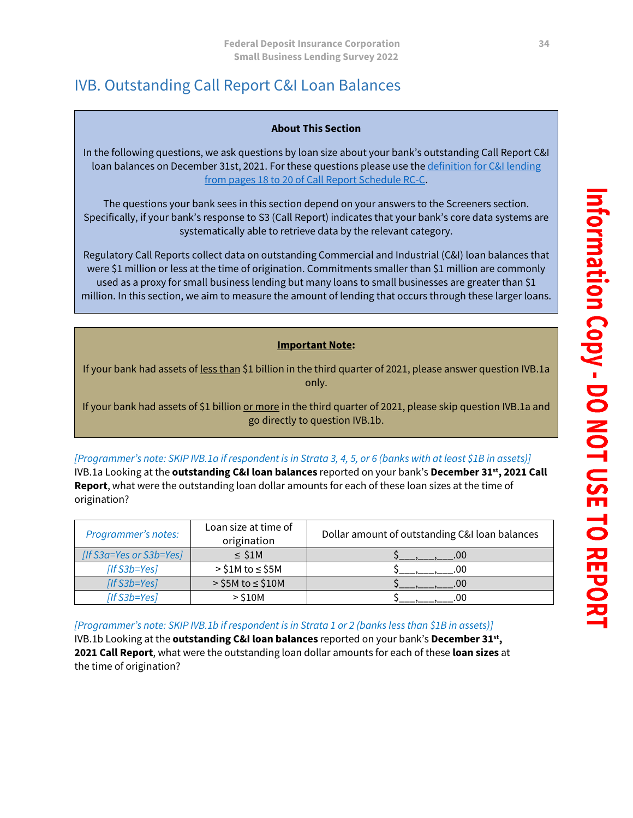### <span id="page-40-0"></span>IVB. Outstanding Call Report C&I Loan Balances

### **About This Section**

In the following questions, we ask questions by loan size about your bank's outstanding Call Report C&I loan balances on December 31st, 2021. For these questions please use the definition for C&I lending [from pages 18 to 20 of Call Report Schedule RC-C](https://www.fdic.gov/regulations/resources/call/crinst-031-041/2020/2020-03-rc-c-parti.pdf).

The questions your bank sees in this section depend on your answers to the Screeners section. Specifically, if your bank's response to S3 (Call Report) indicates that your bank's core data systems are systematically able to retrieve data by the relevant category.

Regulatory Call Reports collect data on outstanding Commercial and Industrial (C&I) loan balances that were \$1 million or less at the time of origination. Commitments smaller than \$1 million are commonly used as a proxy for small business lending but many loans to small businesses are greater than \$1 million. In this section, we aim to measure the amount of lending that occurs through these larger loans.

### **Important Note:**

If your bank had assets of less than \$1 billion in the third quarter of 2021, please answer question IVB.1a only.

If your bank had assets of \$1 billion or more in the third quarter of 2021, please skip question IVB.1a and go directly to question IVB.1b.

*[Programmer's note: SKIP IVB.1a if respondent is in Strata 3, 4, 5, or 6 (banks with at least \$1B in assets)]* IVB.1a Looking at the **outstanding C&I loan balances** reported on your bank's **December 31st, 2021 Call Report**, what were the outstanding loan dollar amounts for each of these loan sizes at the time of origination?

| Programmer's notes:     | Loan size at time of<br>origination | Dollar amount of outstanding C&I loan balances |
|-------------------------|-------------------------------------|------------------------------------------------|
| [If S3a=Yes or S3b=Yes] | $\leq$ \$1M                         | .00                                            |
| $[If S3b = Yes]$        | $>$ \$1M to $\le$ \$5M              | .00                                            |
| $[If S3b = Yes]$        | $>$ \$5M to $\le$ \$10M             | 00                                             |
| $[If S3b = Yes]$        | $>$ \$10M                           | nc                                             |

*[Programmer's note: SKIP IVB.1b if respondent is in Strata 1 or 2 (banks less than \$1B in assets)]* IVB.1b Looking at the **outstanding C&I loan balances** reported on your bank's **December 31st, 2021 Call Report**, what were the outstanding loan dollar amounts for each of these **loan sizes** at the time of origination?